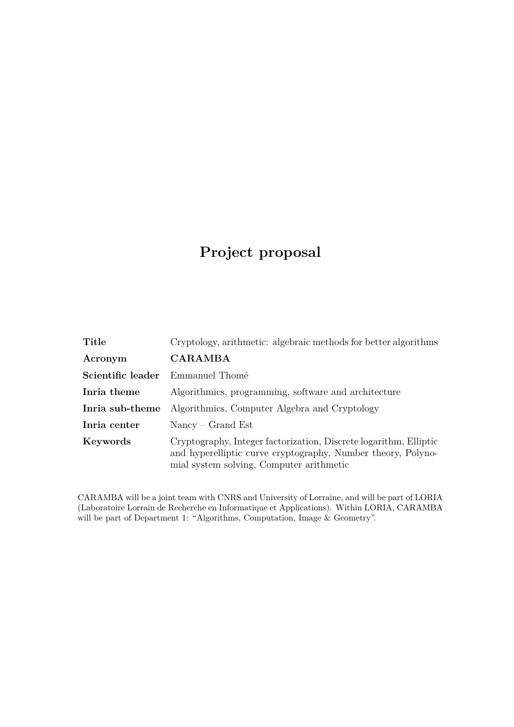# **Project proposal**

| Title             | Cryptology, arithmetic: algebraic methods for better algorithms                                                                                                               |
|-------------------|-------------------------------------------------------------------------------------------------------------------------------------------------------------------------------|
| Acronym           | <b>CARAMBA</b>                                                                                                                                                                |
| Scientific leader | Emmanuel Thomé                                                                                                                                                                |
| Inria theme       | Algorithmics, programming, software and architecture                                                                                                                          |
| Inria sub-theme   | Algorithmics, Computer Algebra and Cryptology                                                                                                                                 |
| Inria center      | $Nancy - Grand Est$                                                                                                                                                           |
| Keywords          | Cryptography, Integer factorization, Discrete logarithm, Elliptic<br>and hyperelliptic curve cryptography, Number theory, Polyno-<br>mial system solving, Computer arithmetic |

CARAMBA will be a joint team with CNRS and University of Lorraine, and will be part of LORIA (Laboratoire Lorrain de Recherche en Informatique et Applications). Within LORIA, CARAMBA will be part of Department 1: "Algorithms, Computation, Image & Geometry".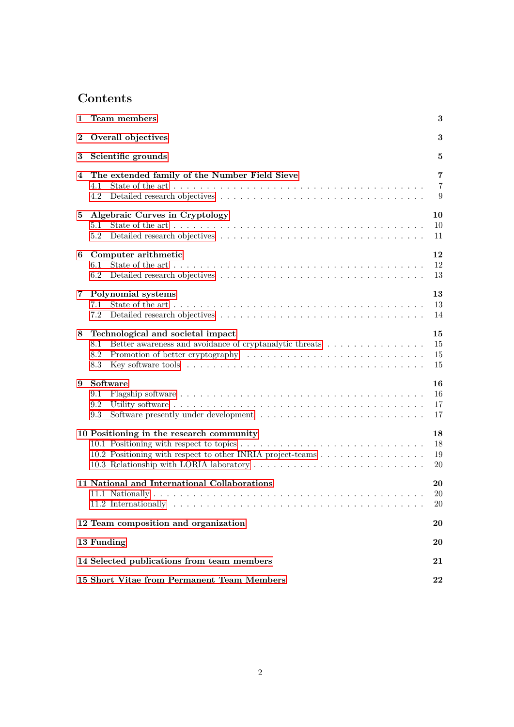# **Contents**

| 1                                          | Team members<br>3                                                                                                                                              |                                       |  |
|--------------------------------------------|----------------------------------------------------------------------------------------------------------------------------------------------------------------|---------------------------------------|--|
| $\boldsymbol{2}$                           | Overall objectives<br>3                                                                                                                                        |                                       |  |
| 3                                          | Scientific grounds                                                                                                                                             | 5                                     |  |
| 4                                          | The extended family of the Number Field Sieve<br>4.1<br>4.2                                                                                                    | $\overline{7}$<br>$\overline{7}$<br>9 |  |
| 5                                          | Algebraic Curves in Cryptology<br>$5.1\,$<br>5.2                                                                                                               | 10<br>10<br>11                        |  |
| 6                                          | Computer arithmetic<br>6.1<br>6.2                                                                                                                              | 12<br>12<br>13                        |  |
| 7                                          | Polynomial systems<br>7.1<br>7.2                                                                                                                               | 13<br>13<br>14                        |  |
| 8                                          | Technological and societal impact<br>Better awareness and avoidance of cryptanalytic threats $\hfill\ldots\ldots\ldots\ldots\ldots\ldots$<br>8.1<br>8.2<br>8.3 | 15<br>15<br>15<br>15                  |  |
| 9                                          | Software<br>9.1<br>9.2<br>9.3                                                                                                                                  | 16<br>16<br>17<br>17                  |  |
|                                            | 10 Positioning in the research community<br>10.2 Positioning with respect to other INRIA project-teams                                                         | 18<br>18<br>19<br><b>20</b>           |  |
|                                            | 11 National and International Collaborations                                                                                                                   | 20<br>20<br>$20\,$                    |  |
| 12 Team composition and organization<br>20 |                                                                                                                                                                |                                       |  |
|                                            | 13 Funding                                                                                                                                                     | 20                                    |  |
|                                            | 14 Selected publications from team members                                                                                                                     |                                       |  |
|                                            | 15 Short Vitae from Permanent Team Members                                                                                                                     |                                       |  |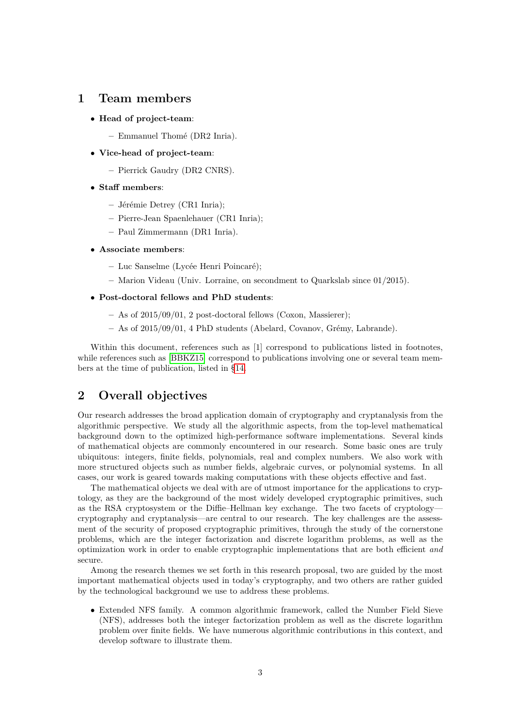# <span id="page-2-0"></span>**1 Team members**

- **Head of project-team**:
	- **–** Emmanuel Thomé (DR2 Inria).
- **Vice-head of project-team**:
	- **–** Pierrick Gaudry (DR2 CNRS).
- **Staff members**:
	- **–** Jérémie Detrey (CR1 Inria);
	- **–** Pierre-Jean Spaenlehauer (CR1 Inria);
	- **–** Paul Zimmermann (DR1 Inria).
- **Associate members**:
	- **–** Luc Sanselme (Lycée Henri Poincaré);
	- **–** Marion Videau (Univ. Lorraine, on secondment to Quarkslab since 01/2015).
- **Post-doctoral fellows and PhD students**:
	- **–** As of 2015/09/01, 2 post-doctoral fellows (Coxon, Massierer);
	- **–** As of 2015/09/01, 4 PhD students (Abelard, Covanov, Grémy, Labrande).

Within this document, references such as [1] correspond to publications listed in footnotes, while references such as [\[BBKZ15\]](#page-20-1) correspond to publications involving one or several team members at the time of publication, listed in [§14.](#page-20-0)

# <span id="page-2-1"></span>**2 Overall objectives**

Our research addresses the broad application domain of cryptography and cryptanalysis from the algorithmic perspective. We study all the algorithmic aspects, from the top-level mathematical background down to the optimized high-performance software implementations. Several kinds of mathematical objects are commonly encountered in our research. Some basic ones are truly ubiquitous: integers, finite fields, polynomials, real and complex numbers. We also work with more structured objects such as number fields, algebraic curves, or polynomial systems. In all cases, our work is geared towards making computations with these objects effective and fast.

The mathematical objects we deal with are of utmost importance for the applications to cryptology, as they are the background of the most widely developed cryptographic primitives, such as the RSA cryptosystem or the Diffie–Hellman key exchange. The two facets of cryptology cryptography and cryptanalysis—are central to our research. The key challenges are the assessment of the security of proposed cryptographic primitives, through the study of the cornerstone problems, which are the integer factorization and discrete logarithm problems, as well as the optimization work in order to enable cryptographic implementations that are both efficient *and* secure.

Among the research themes we set forth in this research proposal, two are guided by the most important mathematical objects used in today's cryptography, and two others are rather guided by the technological background we use to address these problems.

• Extended NFS family. A common algorithmic framework, called the Number Field Sieve (NFS), addresses both the integer factorization problem as well as the discrete logarithm problem over finite fields. We have numerous algorithmic contributions in this context, and develop software to illustrate them.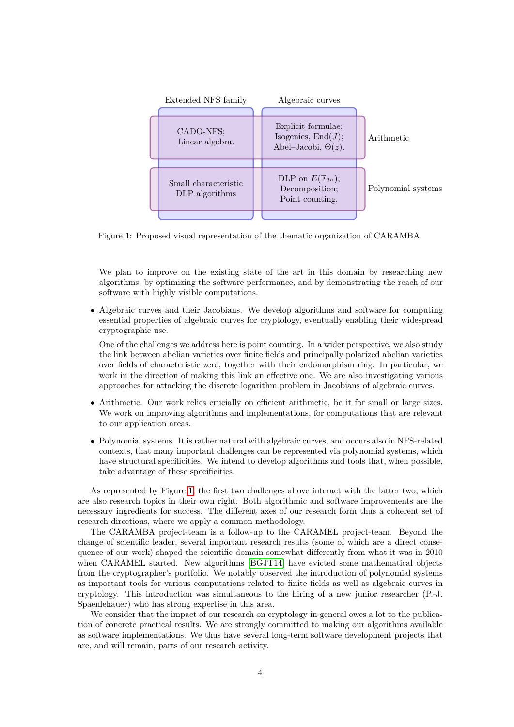

<span id="page-3-0"></span>Figure 1: Proposed visual representation of the thematic organization of CARAMBA.

We plan to improve on the existing state of the art in this domain by researching new algorithms, by optimizing the software performance, and by demonstrating the reach of our software with highly visible computations.

• Algebraic curves and their Jacobians. We develop algorithms and software for computing essential properties of algebraic curves for cryptology, eventually enabling their widespread cryptographic use.

One of the challenges we address here is point counting. In a wider perspective, we also study the link between abelian varieties over finite fields and principally polarized abelian varieties over fields of characteristic zero, together with their endomorphism ring. In particular, we work in the direction of making this link an effective one. We are also investigating various approaches for attacking the discrete logarithm problem in Jacobians of algebraic curves.

- Arithmetic. Our work relies crucially on efficient arithmetic, be it for small or large sizes. We work on improving algorithms and implementations, for computations that are relevant to our application areas.
- Polynomial systems. It is rather natural with algebraic curves, and occurs also in NFS-related contexts, that many important challenges can be represented via polynomial systems, which have structural specificities. We intend to develop algorithms and tools that, when possible, take advantage of these specificities.

As represented by Figure [1,](#page-3-0) the first two challenges above interact with the latter two, which are also research topics in their own right. Both algorithmic and software improvements are the necessary ingredients for success. The different axes of our research form thus a coherent set of research directions, where we apply a common methodology.

The CARAMBA project-team is a follow-up to the CARAMEL project-team. Beyond the change of scientific leader, several important research results (some of which are a direct consequence of our work) shaped the scientific domain somewhat differently from what it was in 2010 when CARAMEL started. New algorithms [\[BGJT14\]](#page-21-1) have evicted some mathematical objects from the cryptographer's portfolio. We notably observed the introduction of polynomial systems as important tools for various computations related to finite fields as well as algebraic curves in cryptology. This introduction was simultaneous to the hiring of a new junior researcher (P.-J. Spaenlehauer) who has strong expertise in this area.

We consider that the impact of our research on cryptology in general owes a lot to the publication of concrete practical results. We are strongly committed to making our algorithms available as software implementations. We thus have several long-term software development projects that are, and will remain, parts of our research activity.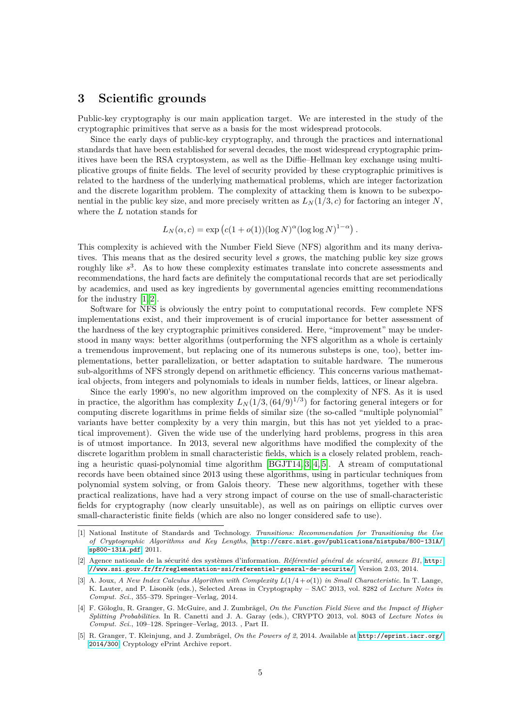# <span id="page-4-0"></span>**3 Scientific grounds**

Public-key cryptography is our main application target. We are interested in the study of the cryptographic primitives that serve as a basis for the most widespread protocols.

Since the early days of public-key cryptography, and through the practices and international standards that have been established for several decades, the most widespread cryptographic primitives have been the RSA cryptosystem, as well as the Diffie–Hellman key exchange using multiplicative groups of finite fields. The level of security provided by these cryptographic primitives is related to the hardness of the underlying mathematical problems, which are integer factorization and the discrete logarithm problem. The complexity of attacking them is known to be subexponential in the public key size, and more precisely written as  $L<sub>N</sub>(1/3, c)$  for factoring an integer *N*, where the *L* notation stands for

$$
L_N(\alpha, c) = \exp\left(c(1 + o(1))(\log N)^{\alpha}(\log \log N)^{1 - \alpha}\right).
$$

This complexity is achieved with the Number Field Sieve (NFS) algorithm and its many derivatives. This means that as the desired security level *s* grows, the matching public key size grows roughly like  $s^3$ . As to how these complexity estimates translate into concrete assessments and recommendations, the hard facts are definitely the computational records that are set periodically by academics, and used as key ingredients by governmental agencies emitting recommendations for the industry [\[1,](#page-4-1) [2\]](#page-4-2).

Software for NFS is obviously the entry point to computational records. Few complete NFS implementations exist, and their improvement is of crucial importance for better assessment of the hardness of the key cryptographic primitives considered. Here, "improvement" may be understood in many ways: better algorithms (outperforming the NFS algorithm as a whole is certainly a tremendous improvement, but replacing one of its numerous substeps is one, too), better implementations, better parallelization, or better adaptation to suitable hardware. The numerous sub-algorithms of NFS strongly depend on arithmetic efficiency. This concerns various mathematical objects, from integers and polynomials to ideals in number fields, lattices, or linear algebra.

Since the early 1990's, no new algorithm improved on the complexity of NFS. As it is used in practice, the algorithm has complexity  $L_N(1/3, (64/9)^{1/3})$  for factoring general integers or for computing discrete logarithms in prime fields of similar size (the so-called "multiple polynomial" variants have better complexity by a very thin margin, but this has not yet yielded to a practical improvement). Given the wide use of the underlying hard problems, progress in this area is of utmost importance. In 2013, several new algorithms have modified the complexity of the discrete logarithm problem in small characteristic fields, which is a closely related problem, reaching a heuristic quasi-polynomial time algorithm [\[BGJT14,](#page-21-1) [3,](#page-4-3) [4,](#page-4-4) [5\]](#page-4-5). A stream of computational records have been obtained since 2013 using these algorithms, using in particular techniques from polynomial system solving, or from Galois theory. These new algorithms, together with these practical realizations, have had a very strong impact of course on the use of small-characteristic fields for cryptography (now clearly unsuitable), as well as on pairings on elliptic curves over small-characteristic finite fields (which are also no longer considered safe to use).

<span id="page-4-1"></span><sup>[1]</sup> National Institute of Standards and Technology. *Transitions: Recommendation for Transitioning the Use of Cryptographic Algorithms and Key Lengths*, [http://csrc.nist.gov/publications/nistpubs/800-131A/](http://csrc.nist.gov/publications/nistpubs/800-131A/sp800-131A.pdf) [sp800-131A.pdf](http://csrc.nist.gov/publications/nistpubs/800-131A/sp800-131A.pdf), 2011.

<span id="page-4-2"></span><sup>[2]</sup> Agence nationale de la sécurité des systèmes d'information. *Référentiel général de sécurité, annexe B1*, [http:](http://www.ssi.gouv.fr/fr/reglementation-ssi/referentiel-general-de-securite/) [//www.ssi.gouv.fr/fr/reglementation-ssi/referentiel-general-de-securite/](http://www.ssi.gouv.fr/fr/reglementation-ssi/referentiel-general-de-securite/). Version 2.03, 2014.

<span id="page-4-3"></span><sup>[3]</sup> A. Joux, *A New Index Calculus Algorithm with Complexity L*(1*/*4 + *o*(1)) *in Small Characteristic*. In T. Lange, K. Lauter, and P. Lisoněk (eds.), Selected Areas in Cryptography – SAC 2013, vol. 8282 of *Lecture Notes in Comput. Sci.*, 355–379. Springer–Verlag, 2014.

<span id="page-4-4"></span><sup>[4]</sup> F. Göloglu, R. Granger, G. McGuire, and J. Zumbrägel, *On the Function Field Sieve and the Impact of Higher Splitting Probabilities*. In R. Canetti and J. A. Garay (eds.), CRYPTO 2013, vol. 8043 of *Lecture Notes in Comput. Sci.*, 109–128. Springer–Verlag, 2013. , Part II.

<span id="page-4-5"></span><sup>[5]</sup> R. Granger, T. Kleinjung, and J. Zumbrägel, *On the Powers of 2*, 2014. Available at [http://eprint.iacr.org/](http://eprint.iacr.org/2014/300) [2014/300](http://eprint.iacr.org/2014/300). Cryptology ePrint Archive report.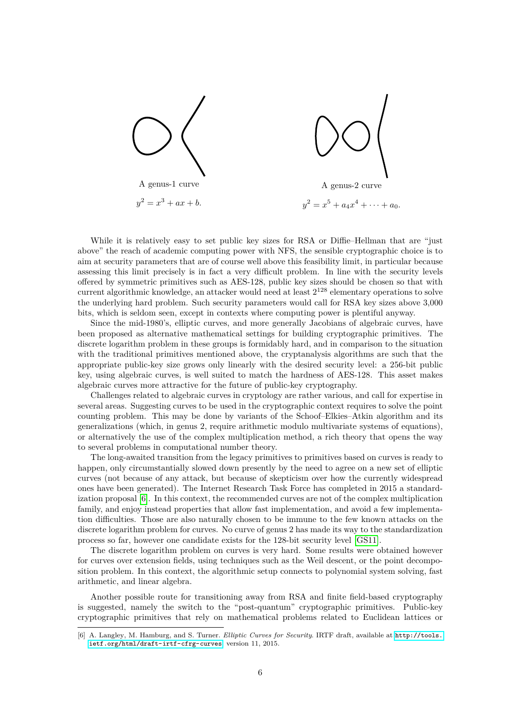

While it is relatively easy to set public key sizes for RSA or Diffie–Hellman that are "just above" the reach of academic computing power with NFS, the sensible cryptographic choice is to aim at security parameters that are of course well above this feasibility limit, in particular because assessing this limit precisely is in fact a very difficult problem. In line with the security levels offered by symmetric primitives such as AES-128, public key sizes should be chosen so that with current algorithmic knowledge, an attacker would need at least  $2^{128}$  elementary operations to solve the underlying hard problem. Such security parameters would call for RSA key sizes above 3,000 bits, which is seldom seen, except in contexts where computing power is plentiful anyway.

Since the mid-1980's, elliptic curves, and more generally Jacobians of algebraic curves, have been proposed as alternative mathematical settings for building cryptographic primitives. The discrete logarithm problem in these groups is formidably hard, and in comparison to the situation with the traditional primitives mentioned above, the cryptanalysis algorithms are such that the appropriate public-key size grows only linearly with the desired security level: a 256-bit public key, using algebraic curves, is well suited to match the hardness of AES-128. This asset makes algebraic curves more attractive for the future of public-key cryptography.

Challenges related to algebraic curves in cryptology are rather various, and call for expertise in several areas. Suggesting curves to be used in the cryptographic context requires to solve the point counting problem. This may be done by variants of the Schoof–Elkies–Atkin algorithm and its generalizations (which, in genus 2, require arithmetic modulo multivariate systems of equations), or alternatively the use of the complex multiplication method, a rich theory that opens the way to several problems in computational number theory.

The long-awaited transition from the legacy primitives to primitives based on curves is ready to happen, only circumstantially slowed down presently by the need to agree on a new set of elliptic curves (not because of any attack, but because of skepticism over how the currently widespread ones have been generated). The Internet Research Task Force has completed in 2015 a standardization proposal [\[6\]](#page-5-0). In this context, the recommended curves are not of the complex multiplication family, and enjoy instead properties that allow fast implementation, and avoid a few implementation difficulties. Those are also naturally chosen to be immune to the few known attacks on the discrete logarithm problem for curves. No curve of genus 2 has made its way to the standardization process so far, however one candidate exists for the 128-bit security level [\[GS11\]](#page-20-2).

The discrete logarithm problem on curves is very hard. Some results were obtained however for curves over extension fields, using techniques such as the Weil descent, or the point decomposition problem. In this context, the algorithmic setup connects to polynomial system solving, fast arithmetic, and linear algebra.

Another possible route for transitioning away from RSA and finite field-based cryptography is suggested, namely the switch to the "post-quantum" cryptographic primitives. Public-key cryptographic primitives that rely on mathematical problems related to Euclidean lattices or

<span id="page-5-0"></span><sup>[6]</sup> A. Langley, M. Hamburg, and S. Turner. *Elliptic Curves for Security*. IRTF draft, available at [http://tools.](http://tools.ietf.org/html/draft-irtf-cfrg-curves) [ietf.org/html/draft-irtf-cfrg-curves](http://tools.ietf.org/html/draft-irtf-cfrg-curves), version 11, 2015.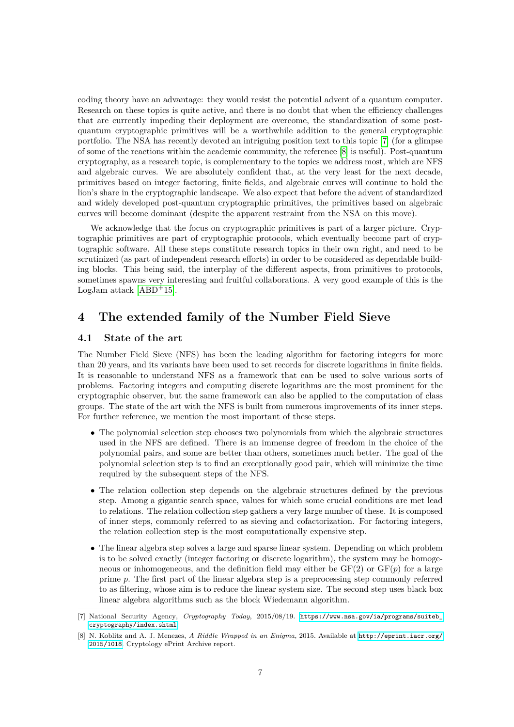coding theory have an advantage: they would resist the potential advent of a quantum computer. Research on these topics is quite active, and there is no doubt that when the efficiency challenges that are currently impeding their deployment are overcome, the standardization of some postquantum cryptographic primitives will be a worthwhile addition to the general cryptographic portfolio. The NSA has recently devoted an intriguing position text to this topic [\[7\]](#page-6-2) (for a glimpse of some of the reactions within the academic community, the reference [\[8\]](#page-6-3) is useful). Post-quantum cryptography, as a research topic, is complementary to the topics we address most, which are NFS and algebraic curves. We are absolutely confident that, at the very least for the next decade, primitives based on integer factoring, finite fields, and algebraic curves will continue to hold the lion's share in the cryptographic landscape. We also expect that before the advent of standardized and widely developed post-quantum cryptographic primitives, the primitives based on algebraic curves will become dominant (despite the apparent restraint from the NSA on this move).

We acknowledge that the focus on cryptographic primitives is part of a larger picture. Cryptographic primitives are part of cryptographic protocols, which eventually become part of cryptographic software. All these steps constitute research topics in their own right, and need to be scrutinized (as part of independent research efforts) in order to be considered as dependable building blocks. This being said, the interplay of the different aspects, from primitives to protocols, sometimes spawns very interesting and fruitful collaborations. A very good example of this is the LogJam attack  $[ABD+15]$  $[ABD+15]$ .

# <span id="page-6-0"></span>**4 The extended family of the Number Field Sieve**

## <span id="page-6-1"></span>**4.1 State of the art**

The Number Field Sieve (NFS) has been the leading algorithm for factoring integers for more than 20 years, and its variants have been used to set records for discrete logarithms in finite fields. It is reasonable to understand NFS as a framework that can be used to solve various sorts of problems. Factoring integers and computing discrete logarithms are the most prominent for the cryptographic observer, but the same framework can also be applied to the computation of class groups. The state of the art with the NFS is built from numerous improvements of its inner steps. For further reference, we mention the most important of these steps.

- The polynomial selection step chooses two polynomials from which the algebraic structures used in the NFS are defined. There is an immense degree of freedom in the choice of the polynomial pairs, and some are better than others, sometimes much better. The goal of the polynomial selection step is to find an exceptionally good pair, which will minimize the time required by the subsequent steps of the NFS.
- The relation collection step depends on the algebraic structures defined by the previous step. Among a gigantic search space, values for which some crucial conditions are met lead to relations. The relation collection step gathers a very large number of these. It is composed of inner steps, commonly referred to as sieving and cofactorization. For factoring integers, the relation collection step is the most computationally expensive step.
- The linear algebra step solves a large and sparse linear system. Depending on which problem is to be solved exactly (integer factoring or discrete logarithm), the system may be homogeneous or inhomogeneous, and the definition field may either be  $GF(2)$  or  $GF(p)$  for a large prime *p*. The first part of the linear algebra step is a preprocessing step commonly referred to as filtering, whose aim is to reduce the linear system size. The second step uses black box linear algebra algorithms such as the block Wiedemann algorithm.

<span id="page-6-2"></span><sup>[7]</sup> National Security Agency, *Cryptography Today*, 2015/08/19. [https://www.nsa.gov/ia/programs/suiteb\\_](https://www.nsa.gov/ia/programs/suiteb_cryptography/index.shtml) [cryptography/index.shtml](https://www.nsa.gov/ia/programs/suiteb_cryptography/index.shtml).

<span id="page-6-3"></span><sup>[8]</sup> N. Koblitz and A. J. Menezes, *A Riddle Wrapped in an Enigma*, 2015. Available at [http://eprint.iacr.org/](http://eprint.iacr.org/2015/1018) [2015/1018](http://eprint.iacr.org/2015/1018). Cryptology ePrint Archive report.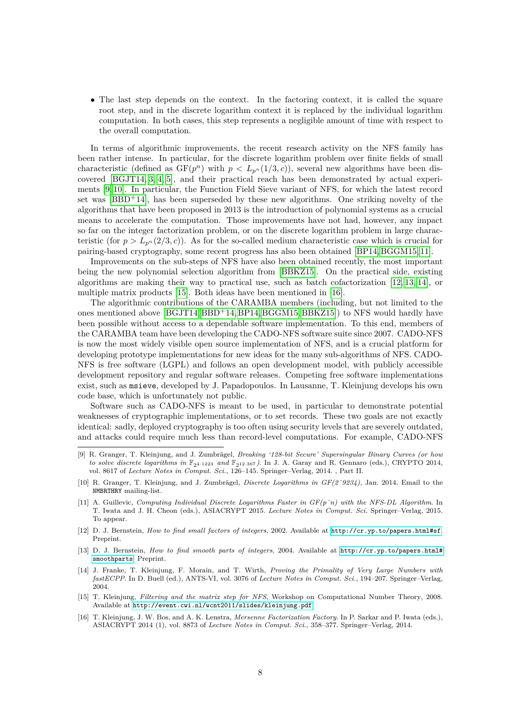• The last step depends on the context. In the factoring context, it is called the square root step, and in the discrete logarithm context it is replaced by the individual logarithm computation. In both cases, this step represents a negligible amount of time with respect to the overall computation.

In terms of algorithmic improvements, the recent research activity on the NFS family has been rather intense. In particular, for the discrete logarithm problem over finite fields of small characteristic (defined as  $GF(p^n)$  with  $p < L_{p^n}(1/3, c)$ ), several new algorithms have been discovered [\[BGJT14,](#page-21-1) [3,](#page-4-3) [4,](#page-4-4) [5\]](#page-4-5), and their practical reach has been demonstrated by actual experiments [\[9,](#page-7-0) [10\]](#page-7-1). In particular, the Function Field Sieve variant of NFS, for which the latest record set was  $[BBD+14]$  $[BBD+14]$ , has been superseded by these new algorithms. One striking novelty of the algorithms that have been proposed in 2013 is the introduction of polynomial systems as a crucial means to accelerate the computation. Those improvements have not had, however, any impact so far on the integer factorization problem, or on the discrete logarithm problem in large characteristic (for  $p > L_{p^n}(2/3, c)$ ). As for the so-called medium characteristic case which is crucial for pairing-based cryptography, some recent progress has also been obtained [\[BP14,](#page-20-3) [BGGM15,](#page-21-4) [11\]](#page-7-2).

Improvements on the sub-steps of NFS have also been obtained recently, the most important being the new polynomial selection algorithm from [\[BBKZ15\]](#page-20-1). On the practical side, existing algorithms are making their way to practical use, such as batch cofactorization [\[12,](#page-7-3) [13,](#page-7-4) [14\]](#page-7-5), or multiple matrix products [\[15\]](#page-7-6). Both ideas have been mentioned in [\[16\]](#page-7-7).

The algorithmic contributions of the CARAMBA members (including, but not limited to the ones mentioned above  $[BGJT14, BBD+14, BP14, BGGM15, BBKZ15]$  $[BGJT14, BBD+14, BP14, BGGM15, BBKZ15]$  $[BGJT14, BBD+14, BP14, BGGM15, BBKZ15]$  $[BGJT14, BBD+14, BP14, BGGM15, BBKZ15]$  $[BGJT14, BBD+14, BP14, BGGM15, BBKZ15]$  $[BGJT14, BBD+14, BP14, BGGM15, BBKZ15]$  to NFS would hardly have been possible without access to a dependable software implementation. To this end, members of the CARAMBA team have been developing the CADO-NFS software suite since 2007. CADO-NFS is now the most widely visible open source implementation of NFS, and is a crucial platform for developing prototype implementations for new ideas for the many sub-algorithms of NFS. CADO-NFS is free software (LGPL) and follows an open development model, with publicly accessible development repository and regular software releases. Competing free software implementations exist, such as msieve, developed by J. Papadopoulos. In Lausanne, T. Kleinjung develops his own code base, which is unfortunately not public.

Software such as CADO-NFS is meant to be used, in particular to demonstrate potential weaknesses of cryptographic implementations, or to set records. These two goals are not exactly identical: sadly, deployed cryptography is too often using security levels that are severely outdated, and attacks could require much less than record-level computations. For example, CADO-NFS

- <span id="page-7-1"></span>[10] R. Granger, T. Kleinjung, and J. Zumbrägel, *Discrete Logarithms in GF(2ˆ9234)*, Jan. 2014. Email to the NMBRTHRY mailing-list.
- <span id="page-7-2"></span>[11] A. Guillevic, *Computing Individual Discrete Logarithms Faster in GF(pˆn) with the NFS-DL Algorithm*. In T. Iwata and J. H. Cheon (eds.), ASIACRYPT 2015. *Lecture Notes in Comput. Sci.* Springer–Verlag, 2015. To appear.
- <span id="page-7-3"></span>[12] D. J. Bernstein, *How to find small factors of integers*, 2002. Available at <http://cr.yp.to/papers.html#sf>. Preprint.
- <span id="page-7-4"></span>[13] D. J. Bernstein, *How to find smooth parts of integers*, 2004. Available at [http://cr.yp.to/papers.html#](http://cr.yp.to/papers.html#smoothparts) [smoothparts](http://cr.yp.to/papers.html#smoothparts). Preprint.
- <span id="page-7-5"></span>[14] J. Franke, T. Kleinjung, F. Morain, and T. Wirth, *Proving the Primality of Very Large Numbers with fastECPP*. In D. Buell (ed.), ANTS-VI, vol. 3076 of *Lecture Notes in Comput. Sci.*, 194–207. Springer–Verlag, 2004.
- <span id="page-7-6"></span>[15] T. Kleinjung, *Filtering and the matrix step for NFS*, Workshop on Computational Number Theory, 2008. Available at <http://event.cwi.nl/wcnt2011/slides/kleinjung.pdf>.
- <span id="page-7-7"></span>[16] T. Kleinjung, J. W. Bos, and A. K. Lenstra, *Mersenne Factorization Factory*. In P. Sarkar and P. Iwata (eds.), ASIACRYPT 2014 (1), vol. 8873 of *Lecture Notes in Comput. Sci.*, 358–377. Springer–Verlag, 2014.

<span id="page-7-0"></span><sup>[9]</sup> R. Granger, T. Kleinjung, and J. Zumbrägel, *Breaking '128-bit Secure' Supersingular Binary Curves (or how to solve discrete logarithms in*  $\mathbb{F}_{24 \cdot 1223}$  *and*  $\mathbb{F}_{212 \cdot 367}$ *)*. In J. A. Garay and R. Gennaro (eds.), CRYPTO 2014, vol. 8617 of *Lecture Notes in Comput. Sci.*, 126–145. Springer–Verlag, 2014. , Part II.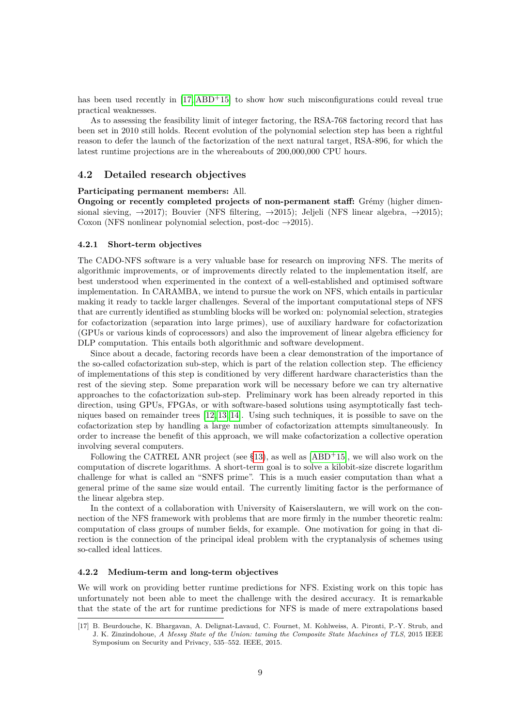has been used recently in  $[17, ABD+15]$  $[17, ABD+15]$  $[17, ABD+15]$  to show how such misconfigurations could reveal true practical weaknesses.

As to assessing the feasibility limit of integer factoring, the RSA-768 factoring record that has been set in 2010 still holds. Recent evolution of the polynomial selection step has been a rightful reason to defer the launch of the factorization of the next natural target, RSA-896, for which the latest runtime projections are in the whereabouts of 200,000,000 CPU hours.

### <span id="page-8-0"></span>**4.2 Detailed research objectives**

#### **Participating permanent members:** All.

**Ongoing or recently completed projects of non-permanent staff:** Grémy (higher dimensional sieving,  $\rightarrow$ 2017); Bouvier (NFS filtering,  $\rightarrow$ 2015); Jeljeli (NFS linear algebra,  $\rightarrow$ 2015); Coxon (NFS nonlinear polynomial selection, post-doc  $\rightarrow$  2015).

#### <span id="page-8-2"></span>**4.2.1 Short-term objectives**

The CADO-NFS software is a very valuable base for research on improving NFS. The merits of algorithmic improvements, or of improvements directly related to the implementation itself, are best understood when experimented in the context of a well-established and optimised software implementation. In CARAMBA, we intend to pursue the work on NFS, which entails in particular making it ready to tackle larger challenges. Several of the important computational steps of NFS that are currently identified as stumbling blocks will be worked on: polynomial selection, strategies for cofactorization (separation into large primes), use of auxiliary hardware for cofactorization (GPUs or various kinds of coprocessors) and also the improvement of linear algebra efficiency for DLP computation. This entails both algorithmic and software development.

Since about a decade, factoring records have been a clear demonstration of the importance of the so-called cofactorization sub-step, which is part of the relation collection step. The efficiency of implementations of this step is conditioned by very different hardware characteristics than the rest of the sieving step. Some preparation work will be necessary before we can try alternative approaches to the cofactorization sub-step. Preliminary work has been already reported in this direction, using GPUs, FPGAs, or with software-based solutions using asymptotically fast techniques based on remainder trees [\[12,](#page-7-3) [13,](#page-7-4) [14\]](#page-7-5). Using such techniques, it is possible to save on the cofactorization step by handling a large number of cofactorization attempts simultaneously. In order to increase the benefit of this approach, we will make cofactorization a collective operation involving several computers.

Following the CATREL ANR project (see  $\S13$ ), as well as [\[ABD](#page-21-2)<sup>+</sup>15], we will also work on the computation of discrete logarithms. A short-term goal is to solve a kilobit-size discrete logarithm challenge for what is called an "SNFS prime". This is a much easier computation than what a general prime of the same size would entail. The currently limiting factor is the performance of the linear algebra step.

In the context of a collaboration with University of Kaiserslautern, we will work on the connection of the NFS framework with problems that are more firmly in the number theoretic realm: computation of class groups of number fields, for example. One motivation for going in that direction is the connection of the principal ideal problem with the cryptanalysis of schemes using so-called ideal lattices.

#### **4.2.2 Medium-term and long-term objectives**

We will work on providing better runtime predictions for NFS. Existing work on this topic has unfortunately not been able to meet the challenge with the desired accuracy. It is remarkable that the state of the art for runtime predictions for NFS is made of mere extrapolations based

<span id="page-8-1"></span><sup>[17]</sup> B. Beurdouche, K. Bhargavan, A. Delignat-Lavaud, C. Fournet, M. Kohlweiss, A. Pironti, P.-Y. Strub, and J. K. Zinzindohoue, *A Messy State of the Union: taming the Composite State Machines of TLS*, 2015 IEEE Symposium on Security and Privacy, 535–552. IEEE, 2015.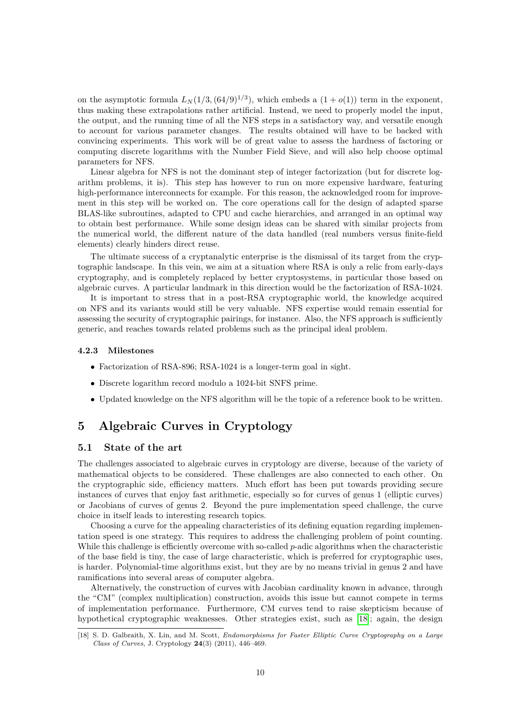on the asymptotic formula  $L_N(1/3, (64/9)^{1/3})$ , which embeds a  $(1+o(1))$  term in the exponent, thus making these extrapolations rather artificial. Instead, we need to properly model the input, the output, and the running time of all the NFS steps in a satisfactory way, and versatile enough to account for various parameter changes. The results obtained will have to be backed with convincing experiments. This work will be of great value to assess the hardness of factoring or computing discrete logarithms with the Number Field Sieve, and will also help choose optimal parameters for NFS.

Linear algebra for NFS is not the dominant step of integer factorization (but for discrete logarithm problems, it is). This step has however to run on more expensive hardware, featuring high-performance interconnects for example. For this reason, the acknowledged room for improvement in this step will be worked on. The core operations call for the design of adapted sparse BLAS-like subroutines, adapted to CPU and cache hierarchies, and arranged in an optimal way to obtain best performance. While some design ideas can be shared with similar projects from the numerical world, the different nature of the data handled (real numbers versus finite-field elements) clearly hinders direct reuse.

The ultimate success of a cryptanalytic enterprise is the dismissal of its target from the cryptographic landscape. In this vein, we aim at a situation where RSA is only a relic from early-days cryptography, and is completely replaced by better cryptosystems, in particular those based on algebraic curves. A particular landmark in this direction would be the factorization of RSA-1024.

It is important to stress that in a post-RSA cryptographic world, the knowledge acquired on NFS and its variants would still be very valuable. NFS expertise would remain essential for assessing the security of cryptographic pairings, for instance. Also, the NFS approach is sufficiently generic, and reaches towards related problems such as the principal ideal problem.

#### **4.2.3 Milestones**

- Factorization of RSA-896; RSA-1024 is a longer-term goal in sight.
- Discrete logarithm record modulo a 1024-bit SNFS prime.
- Updated knowledge on the NFS algorithm will be the topic of a reference book to be written.

# <span id="page-9-0"></span>**5 Algebraic Curves in Cryptology**

# <span id="page-9-1"></span>**5.1 State of the art**

The challenges associated to algebraic curves in cryptology are diverse, because of the variety of mathematical objects to be considered. These challenges are also connected to each other. On the cryptographic side, efficiency matters. Much effort has been put towards providing secure instances of curves that enjoy fast arithmetic, especially so for curves of genus 1 (elliptic curves) or Jacobians of curves of genus 2. Beyond the pure implementation speed challenge, the curve choice in itself leads to interesting research topics.

Choosing a curve for the appealing characteristics of its defining equation regarding implementation speed is one strategy. This requires to address the challenging problem of point counting. While this challenge is efficiently overcome with so-called *p*-adic algorithms when the characteristic of the base field is tiny, the case of large characteristic, which is preferred for cryptographic uses, is harder. Polynomial-time algorithms exist, but they are by no means trivial in genus 2 and have ramifications into several areas of computer algebra.

Alternatively, the construction of curves with Jacobian cardinality known in advance, through the "CM" (complex multiplication) construction, avoids this issue but cannot compete in terms of implementation performance. Furthermore, CM curves tend to raise skepticism because of hypothetical cryptographic weaknesses. Other strategies exist, such as [\[18\]](#page-9-2); again, the design

<span id="page-9-2"></span><sup>[18]</sup> S. D. Galbraith, X. Lin, and M. Scott, *Endomorphisms for Faster Elliptic Curve Cryptography on a Large Class of Curves*, J. Cryptology **24**(3) (2011), 446–469.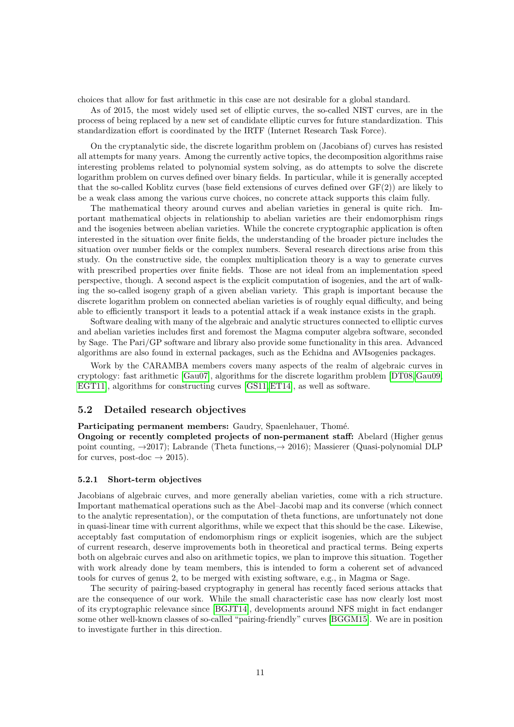choices that allow for fast arithmetic in this case are not desirable for a global standard.

As of 2015, the most widely used set of elliptic curves, the so-called NIST curves, are in the process of being replaced by a new set of candidate elliptic curves for future standardization. This standardization effort is coordinated by the IRTF (Internet Research Task Force).

On the cryptanalytic side, the discrete logarithm problem on (Jacobians of) curves has resisted all attempts for many years. Among the currently active topics, the decomposition algorithms raise interesting problems related to polynomial system solving, as do attempts to solve the discrete logarithm problem on curves defined over binary fields. In particular, while it is generally accepted that the so-called Koblitz curves (base field extensions of curves defined over GF(2)) are likely to be a weak class among the various curve choices, no concrete attack supports this claim fully.

The mathematical theory around curves and abelian varieties in general is quite rich. Important mathematical objects in relationship to abelian varieties are their endomorphism rings and the isogenies between abelian varieties. While the concrete cryptographic application is often interested in the situation over finite fields, the understanding of the broader picture includes the situation over number fields or the complex numbers. Several research directions arise from this study. On the constructive side, the complex multiplication theory is a way to generate curves with prescribed properties over finite fields. Those are not ideal from an implementation speed perspective, though. A second aspect is the explicit computation of isogenies, and the art of walking the so-called isogeny graph of a given abelian variety. This graph is important because the discrete logarithm problem on connected abelian varieties is of roughly equal difficulty, and being able to efficiently transport it leads to a potential attack if a weak instance exists in the graph.

Software dealing with many of the algebraic and analytic structures connected to elliptic curves and abelian varieties includes first and foremost the Magma computer algebra software, seconded by Sage. The Pari/GP software and library also provide some functionality in this area. Advanced algorithms are also found in external packages, such as the Echidna and AVIsogenies packages.

Work by the CARAMBA members covers many aspects of the realm of algebraic curves in cryptology: fast arithmetic [\[Gau07\]](#page-20-4), algorithms for the discrete logarithm problem [\[DT08,](#page-20-5)[Gau09,](#page-20-6) [EGT11\]](#page-20-7), algorithms for constructing curves [\[GS11,](#page-20-2)[ET14\]](#page-20-8), as well as software.

### <span id="page-10-0"></span>**5.2 Detailed research objectives**

**Participating permanent members:** Gaudry, Spaenlehauer, Thomé.

**Ongoing or recently completed projects of non-permanent staff:** Abelard (Higher genus point counting,  $\rightarrow$ 2017); Labrande (Theta functions,  $\rightarrow$  2016); Massierer (Quasi-polynomial DLP for curves, post-doc  $\rightarrow$  2015).

#### <span id="page-10-1"></span>**5.2.1 Short-term objectives**

Jacobians of algebraic curves, and more generally abelian varieties, come with a rich structure. Important mathematical operations such as the Abel–Jacobi map and its converse (which connect to the analytic representation), or the computation of theta functions, are unfortunately not done in quasi-linear time with current algorithms, while we expect that this should be the case. Likewise, acceptably fast computation of endomorphism rings or explicit isogenies, which are the subject of current research, deserve improvements both in theoretical and practical terms. Being experts both on algebraic curves and also on arithmetic topics, we plan to improve this situation. Together with work already done by team members, this is intended to form a coherent set of advanced tools for curves of genus 2, to be merged with existing software, e.g., in Magma or Sage.

The security of pairing-based cryptography in general has recently faced serious attacks that are the consequence of our work. While the small characteristic case has now clearly lost most of its cryptographic relevance since [\[BGJT14\]](#page-21-1), developments around NFS might in fact endanger some other well-known classes of so-called "pairing-friendly" curves [\[BGGM15\]](#page-21-4). We are in position to investigate further in this direction.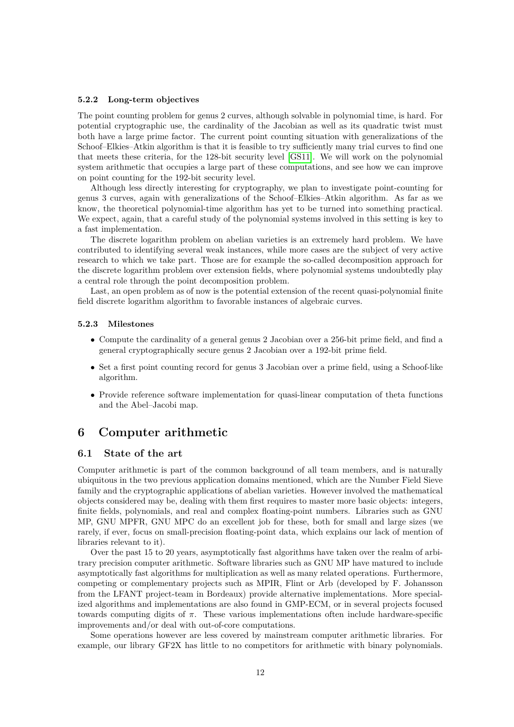#### **5.2.2 Long-term objectives**

The point counting problem for genus 2 curves, although solvable in polynomial time, is hard. For potential cryptographic use, the cardinality of the Jacobian as well as its quadratic twist must both have a large prime factor. The current point counting situation with generalizations of the Schoof–Elkies–Atkin algorithm is that it is feasible to try sufficiently many trial curves to find one that meets these criteria, for the 128-bit security level [\[GS11\]](#page-20-2). We will work on the polynomial system arithmetic that occupies a large part of these computations, and see how we can improve on point counting for the 192-bit security level.

Although less directly interesting for cryptography, we plan to investigate point-counting for genus 3 curves, again with generalizations of the Schoof–Elkies–Atkin algorithm. As far as we know, the theoretical polynomial-time algorithm has yet to be turned into something practical. We expect, again, that a careful study of the polynomial systems involved in this setting is key to a fast implementation.

The discrete logarithm problem on abelian varieties is an extremely hard problem. We have contributed to identifying several weak instances, while more cases are the subject of very active research to which we take part. Those are for example the so-called decomposition approach for the discrete logarithm problem over extension fields, where polynomial systems undoubtedly play a central role through the point decomposition problem.

Last, an open problem as of now is the potential extension of the recent quasi-polynomial finite field discrete logarithm algorithm to favorable instances of algebraic curves.

#### **5.2.3 Milestones**

- Compute the cardinality of a general genus 2 Jacobian over a 256-bit prime field, and find a general cryptographically secure genus 2 Jacobian over a 192-bit prime field.
- Set a first point counting record for genus 3 Jacobian over a prime field, using a Schoof-like algorithm.
- Provide reference software implementation for quasi-linear computation of theta functions and the Abel–Jacobi map.

# <span id="page-11-0"></span>**6 Computer arithmetic**

#### <span id="page-11-1"></span>**6.1 State of the art**

Computer arithmetic is part of the common background of all team members, and is naturally ubiquitous in the two previous application domains mentioned, which are the Number Field Sieve family and the cryptographic applications of abelian varieties. However involved the mathematical objects considered may be, dealing with them first requires to master more basic objects: integers, finite fields, polynomials, and real and complex floating-point numbers. Libraries such as GNU MP, GNU MPFR, GNU MPC do an excellent job for these, both for small and large sizes (we rarely, if ever, focus on small-precision floating-point data, which explains our lack of mention of libraries relevant to it).

Over the past 15 to 20 years, asymptotically fast algorithms have taken over the realm of arbitrary precision computer arithmetic. Software libraries such as GNU MP have matured to include asymptotically fast algorithms for multiplication as well as many related operations. Furthermore, competing or complementary projects such as MPIR, Flint or Arb (developed by F. Johansson from the LFANT project-team in Bordeaux) provide alternative implementations. More specialized algorithms and implementations are also found in GMP-ECM, or in several projects focused towards computing digits of *π*. These various implementations often include hardware-specific improvements and/or deal with out-of-core computations.

Some operations however are less covered by mainstream computer arithmetic libraries. For example, our library GF2X has little to no competitors for arithmetic with binary polynomials.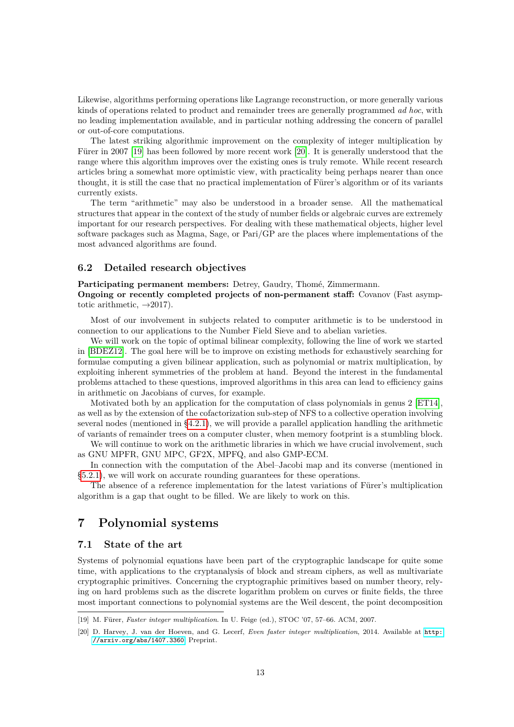Likewise, algorithms performing operations like Lagrange reconstruction, or more generally various kinds of operations related to product and remainder trees are generally programmed *ad hoc*, with no leading implementation available, and in particular nothing addressing the concern of parallel or out-of-core computations.

The latest striking algorithmic improvement on the complexity of integer multiplication by Fürer in 2007 [\[19\]](#page-12-3) has been followed by more recent work [\[20\]](#page-12-4). It is generally understood that the range where this algorithm improves over the existing ones is truly remote. While recent research articles bring a somewhat more optimistic view, with practicality being perhaps nearer than once thought, it is still the case that no practical implementation of Fürer's algorithm or of its variants currently exists.

The term "arithmetic" may also be understood in a broader sense. All the mathematical structures that appear in the context of the study of number fields or algebraic curves are extremely important for our research perspectives. For dealing with these mathematical objects, higher level software packages such as Magma, Sage, or Pari/GP are the places where implementations of the most advanced algorithms are found.

# <span id="page-12-0"></span>**6.2 Detailed research objectives**

**Participating permanent members:** Detrey, Gaudry, Thomé, Zimmermann.

**Ongoing or recently completed projects of non-permanent staff:** Covanov (Fast asymptotic arithmetic,  $\rightarrow$  2017).

Most of our involvement in subjects related to computer arithmetic is to be understood in connection to our applications to the Number Field Sieve and to abelian varieties.

We will work on the topic of optimal bilinear complexity, following the line of work we started in [\[BDEZ12\]](#page-21-5). The goal here will be to improve on existing methods for exhaustively searching for formulae computing a given bilinear application, such as polynomial or matrix multiplication, by exploiting inherent symmetries of the problem at hand. Beyond the interest in the fundamental problems attached to these questions, improved algorithms in this area can lead to efficiency gains in arithmetic on Jacobians of curves, for example.

Motivated both by an application for the computation of class polynomials in genus 2 [\[ET14\]](#page-20-8), as well as by the extension of the cofactorization sub-step of NFS to a collective operation involving several nodes (mentioned in [§4.2.1\)](#page-8-2), we will provide a parallel application handling the arithmetic of variants of remainder trees on a computer cluster, when memory footprint is a stumbling block.

We will continue to work on the arithmetic libraries in which we have crucial involvement, such as GNU MPFR, GNU MPC, GF2X, MPFQ, and also GMP-ECM.

In connection with the computation of the Abel–Jacobi map and its converse (mentioned in [§5.2.1\)](#page-10-1), we will work on accurate rounding guarantees for these operations.

The absence of a reference implementation for the latest variations of Fürer's multiplication algorithm is a gap that ought to be filled. We are likely to work on this.

# <span id="page-12-1"></span>**7 Polynomial systems**

# <span id="page-12-2"></span>**7.1 State of the art**

Systems of polynomial equations have been part of the cryptographic landscape for quite some time, with applications to the cryptanalysis of block and stream ciphers, as well as multivariate cryptographic primitives. Concerning the cryptographic primitives based on number theory, relying on hard problems such as the discrete logarithm problem on curves or finite fields, the three most important connections to polynomial systems are the Weil descent, the point decomposition

<span id="page-12-3"></span><sup>[19]</sup> M. Fürer, *Faster integer multiplication*. In U. Feige (ed.), STOC '07, 57–66. ACM, 2007.

<span id="page-12-4"></span><sup>[20]</sup> D. Harvey, J. van der Hoeven, and G. Lecerf, *Even faster integer multiplication*, 2014. Available at [http:](http://arxiv.org/abs/1407.3360) [//arxiv.org/abs/1407.3360](http://arxiv.org/abs/1407.3360). Preprint.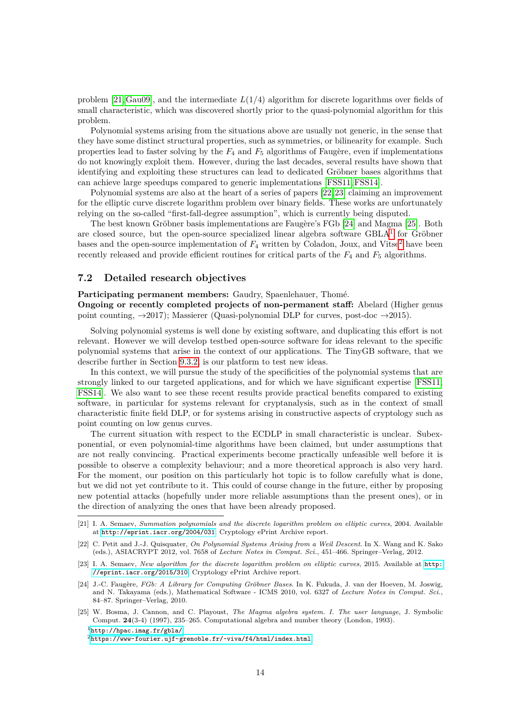problem [\[21,](#page-13-1) [Gau09\]](#page-20-6), and the intermediate *L*(1*/*4) algorithm for discrete logarithms over fields of small characteristic, which was discovered shortly prior to the quasi-polynomial algorithm for this problem.

Polynomial systems arising from the situations above are usually not generic, in the sense that they have some distinct structural properties, such as symmetries, or bilinearity for example. Such properties lead to faster solving by the  $F_4$  and  $F_5$  algorithms of Faugère, even if implementations do not knowingly exploit them. However, during the last decades, several results have shown that identifying and exploiting these structures can lead to dedicated Gröbner bases algorithms that can achieve large speedups compared to generic implementations [\[FSS11,](#page-20-9)[FSS14\]](#page-21-6).

Polynomial systems are also at the heart of a series of papers [\[22,](#page-13-2) [23\]](#page-13-3) claiming an improvement for the elliptic curve discrete logarithm problem over binary fields. These works are unfortunately relying on the so-called "first-fall-degree assumption", which is currently being disputed.

The best known Gröbner basis implementations are Faugère's FGb [\[24\]](#page-13-4) and Magma [\[25\]](#page-13-5). Both are closed source, but the open-source specialized linear algebra software  $\text{GBLA}^1$  $\text{GBLA}^1$  for Gröbner bases and the open-source implementation of  $F_4$  written by Coladon, Joux, and Vitse<sup>[2](#page-13-7)</sup> have been recently released and provide efficient routines for critical parts of the *F*<sup>4</sup> and *F*<sup>5</sup> algorithms.

# <span id="page-13-0"></span>**7.2 Detailed research objectives**

**Participating permanent members:** Gaudry, Spaenlehauer, Thomé.

**Ongoing or recently completed projects of non-permanent staff:** Abelard (Higher genus point counting,  $\rightarrow 2017$ ); Massierer (Quasi-polynomial DLP for curves, post-doc  $\rightarrow 2015$ ).

Solving polynomial systems is well done by existing software, and duplicating this effort is not relevant. However we will develop testbed open-source software for ideas relevant to the specific polynomial systems that arise in the context of our applications. The TinyGB software, that we describe further in Section [9.3.2,](#page-16-2) is our platform to test new ideas.

In this context, we will pursue the study of the specificities of the polynomial systems that are strongly linked to our targeted applications, and for which we have significant expertise [\[FSS11,](#page-20-9) [FSS14\]](#page-21-6). We also want to see these recent results provide practical benefits compared to existing software, in particular for systems relevant for cryptanalysis, such as in the context of small characteristic finite field DLP, or for systems arising in constructive aspects of cryptology such as point counting on low genus curves.

The current situation with respect to the ECDLP in small characteristic is unclear. Subexponential, or even polynomial-time algorithms have been claimed, but under assumptions that are not really convincing. Practical experiments become practically unfeasible well before it is possible to observe a complexity behaviour; and a more theoretical approach is also very hard. For the moment, our position on this particularly hot topic is to follow carefully what is done, but we did not yet contribute to it. This could of course change in the future, either by proposing new potential attacks (hopefully under more reliable assumptions than the present ones), or in the direction of analyzing the ones that have been already proposed.

<span id="page-13-1"></span><sup>[21]</sup> I. A. Semaev, *Summation polynomials and the discrete logarithm problem on elliptic curves*, 2004. Available at <http://eprint.iacr.org/2004/031>. Cryptology ePrint Archive report.

<span id="page-13-2"></span><sup>[22]</sup> C. Petit and J.-J. Quisquater, *On Polynomial Systems Arising from a Weil Descent*. In X. Wang and K. Sako (eds.), ASIACRYPT 2012, vol. 7658 of *Lecture Notes in Comput. Sci.*, 451–466. Springer–Verlag, 2012.

<span id="page-13-3"></span><sup>[23]</sup> I. A. Semaev, *New algorithm for the discrete logarithm problem on elliptic curves*, 2015. Available at [http:](http://eprint.iacr.org/2015/310) [//eprint.iacr.org/2015/310](http://eprint.iacr.org/2015/310). Cryptology ePrint Archive report.

<span id="page-13-4"></span><sup>[24]</sup> J.-C. Faugère, *FGb: A Library for Computing Gröbner Bases*. In K. Fukuda, J. van der Hoeven, M. Joswig, and N. Takayama (eds.), Mathematical Software - ICMS 2010, vol. 6327 of *Lecture Notes in Comput. Sci.*, 84–87. Springer–Verlag, 2010.

<span id="page-13-5"></span><sup>[25]</sup> W. Bosma, J. Cannon, and C. Playoust, *The Magma algebra system. I. The user language*, J. Symbolic Comput. **24**(3-4) (1997), 235–265. Computational algebra and number theory (London, 1993). <sup>1</sup><http://hpac.imag.fr/gbla/>

<span id="page-13-7"></span><span id="page-13-6"></span><sup>2</sup><https://www-fourier.ujf-grenoble.fr/~viva/f4/html/index.html>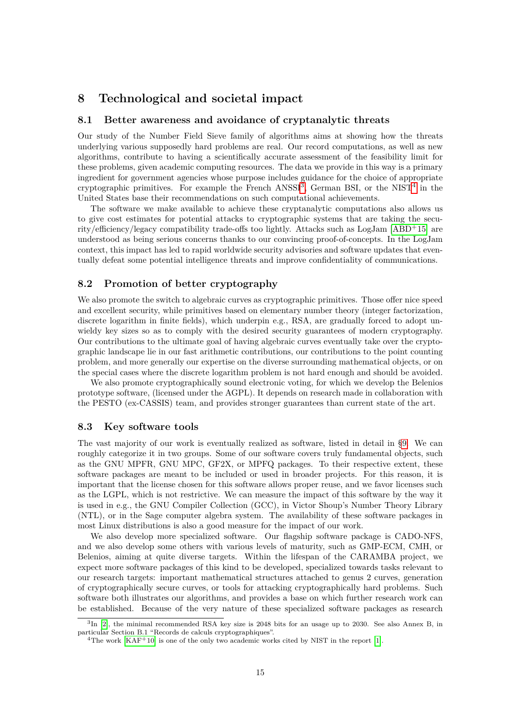# <span id="page-14-0"></span>**8 Technological and societal impact**

### <span id="page-14-1"></span>**8.1 Better awareness and avoidance of cryptanalytic threats**

Our study of the Number Field Sieve family of algorithms aims at showing how the threats underlying various supposedly hard problems are real. Our record computations, as well as new algorithms, contribute to having a scientifically accurate assessment of the feasibility limit for these problems, given academic computing resources. The data we provide in this way is a primary ingredient for government agencies whose purpose includes guidance for the choice of appropriate cryptographic primitives. For example the French ANSSI<sup>[3](#page-14-4)</sup>, German BSI, or the NIST<sup>[4](#page-14-5)</sup> in the United States base their recommendations on such computational achievements.

The software we make available to achieve these cryptanalytic computations also allows us to give cost estimates for potential attacks to cryptographic systems that are taking the security/efficiency/legacy compatibility trade-offs too lightly. Attacks such as  $LogJam[ABD+15]$  $LogJam[ABD+15]$  $LogJam[ABD+15]$  are understood as being serious concerns thanks to our convincing proof-of-concepts. In the LogJam context, this impact has led to rapid worldwide security advisories and software updates that eventually defeat some potential intelligence threats and improve confidentiality of communications.

# <span id="page-14-2"></span>**8.2 Promotion of better cryptography**

We also promote the switch to algebraic curves as cryptographic primitives. Those offer nice speed and excellent security, while primitives based on elementary number theory (integer factorization, discrete logarithm in finite fields), which underpin e.g., RSA, are gradually forced to adopt unwieldy key sizes so as to comply with the desired security guarantees of modern cryptography. Our contributions to the ultimate goal of having algebraic curves eventually take over the cryptographic landscape lie in our fast arithmetic contributions, our contributions to the point counting problem, and more generally our expertise on the diverse surrounding mathematical objects, or on the special cases where the discrete logarithm problem is not hard enough and should be avoided.

We also promote cryptographically sound electronic voting, for which we develop the Belenios prototype software, (licensed under the AGPL). It depends on research made in collaboration with the PESTO (ex-CASSIS) team, and provides stronger guarantees than current state of the art.

#### <span id="page-14-3"></span>**8.3 Key software tools**

The vast majority of our work is eventually realized as software, listed in detail in [§9.](#page-15-0) We can roughly categorize it in two groups. Some of our software covers truly fundamental objects, such as the GNU MPFR, GNU MPC, GF2X, or MPFQ packages. To their respective extent, these software packages are meant to be included or used in broader projects. For this reason, it is important that the license chosen for this software allows proper reuse, and we favor licenses such as the LGPL, which is not restrictive. We can measure the impact of this software by the way it is used in e.g., the GNU Compiler Collection (GCC), in Victor Shoup's Number Theory Library (NTL), or in the Sage computer algebra system. The availability of these software packages in most Linux distributions is also a good measure for the impact of our work.

We also develop more specialized software. Our flagship software package is CADO-NFS, and we also develop some others with various levels of maturity, such as GMP-ECM, CMH, or Belenios, aiming at quite diverse targets. Within the lifespan of the CARAMBA project, we expect more software packages of this kind to be developed, specialized towards tasks relevant to our research targets: important mathematical structures attached to genus 2 curves, generation of cryptographically secure curves, or tools for attacking cryptographically hard problems. Such software both illustrates our algorithms, and provides a base on which further research work can be established. Because of the very nature of these specialized software packages as research

<span id="page-14-4"></span><sup>&</sup>lt;sup>3</sup>In [\[2\]](#page-4-2), the minimal recommended RSA key size is 2048 bits for an usage up to 2030. See also Annex B, in particular Section B.1 "Records de calculs cryptographiques".

<span id="page-14-5"></span><sup>&</sup>lt;sup>4</sup>The work  $[KAF<sup>+</sup>10]$  $[KAF<sup>+</sup>10]$  is one of the only two academic works cited by NIST in the report [\[1\]](#page-4-1).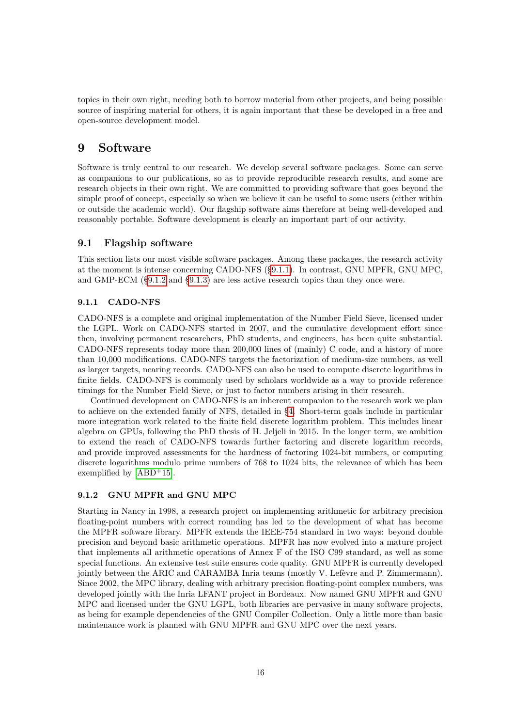topics in their own right, needing both to borrow material from other projects, and being possible source of inspiring material for others, it is again important that these be developed in a free and open-source development model.

# <span id="page-15-0"></span>**9 Software**

Software is truly central to our research. We develop several software packages. Some can serve as companions to our publications, so as to provide reproducible research results, and some are research objects in their own right. We are committed to providing software that goes beyond the simple proof of concept, especially so when we believe it can be useful to some users (either within or outside the academic world). Our flagship software aims therefore at being well-developed and reasonably portable. Software development is clearly an important part of our activity.

# <span id="page-15-1"></span>**9.1 Flagship software**

This section lists our most visible software packages. Among these packages, the research activity at the moment is intense concerning CADO-NFS ([§9.1.1\)](#page-15-2). In contrast, GNU MPFR, GNU MPC, and GMP-ECM ([§9.1.2](#page-15-3) and [§9.1.3\)](#page-16-3) are less active research topics than they once were.

# <span id="page-15-2"></span>**9.1.1 CADO-NFS**

CADO-NFS is a complete and original implementation of the Number Field Sieve, licensed under the LGPL. Work on CADO-NFS started in 2007, and the cumulative development effort since then, involving permanent researchers, PhD students, and engineers, has been quite substantial. CADO-NFS represents today more than 200,000 lines of (mainly) C code, and a history of more than 10,000 modifications. CADO-NFS targets the factorization of medium-size numbers, as well as larger targets, nearing records. CADO-NFS can also be used to compute discrete logarithms in finite fields. CADO-NFS is commonly used by scholars worldwide as a way to provide reference timings for the Number Field Sieve, or just to factor numbers arising in their research.

Continued development on CADO-NFS is an inherent companion to the research work we plan to achieve on the extended family of NFS, detailed in [§4.](#page-6-0) Short-term goals include in particular more integration work related to the finite field discrete logarithm problem. This includes linear algebra on GPUs, following the PhD thesis of H. Jeljeli in 2015. In the longer term, we ambition to extend the reach of CADO-NFS towards further factoring and discrete logarithm records, and provide improved assessments for the hardness of factoring 1024-bit numbers, or computing discrete logarithms modulo prime numbers of 768 to 1024 bits, the relevance of which has been exemplified by  $[ABD+15]$  $[ABD+15]$ .

### <span id="page-15-3"></span>**9.1.2 GNU MPFR and GNU MPC**

Starting in Nancy in 1998, a research project on implementing arithmetic for arbitrary precision floating-point numbers with correct rounding has led to the development of what has become the MPFR software library. MPFR extends the IEEE-754 standard in two ways: beyond double precision and beyond basic arithmetic operations. MPFR has now evolved into a mature project that implements all arithmetic operations of Annex F of the ISO C99 standard, as well as some special functions. An extensive test suite ensures code quality. GNU MPFR is currently developed jointly between the ARIC and CARAMBA Inria teams (mostly V. Lefèvre and P. Zimmermann). Since 2002, the MPC library, dealing with arbitrary precision floating-point complex numbers, was developed jointly with the Inria LFANT project in Bordeaux. Now named GNU MPFR and GNU MPC and licensed under the GNU LGPL, both libraries are pervasive in many software projects, as being for example dependencies of the GNU Compiler Collection. Only a little more than basic maintenance work is planned with GNU MPFR and GNU MPC over the next years.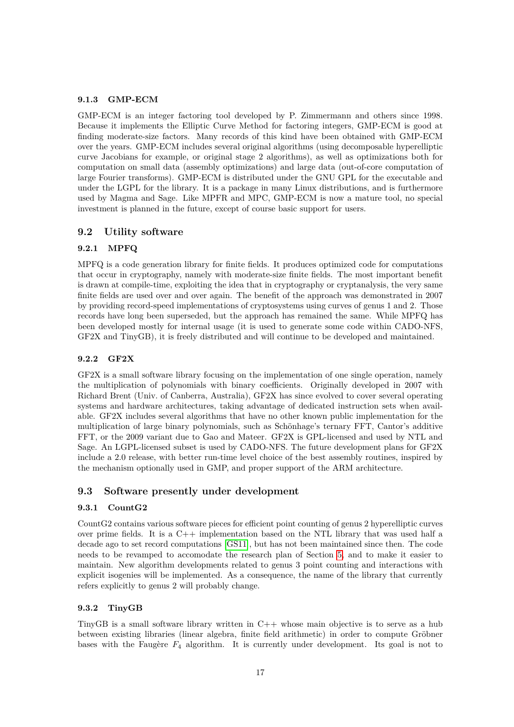#### <span id="page-16-3"></span>**9.1.3 GMP-ECM**

GMP-ECM is an integer factoring tool developed by P. Zimmermann and others since 1998. Because it implements the Elliptic Curve Method for factoring integers, GMP-ECM is good at finding moderate-size factors. Many records of this kind have been obtained with GMP-ECM over the years. GMP-ECM includes several original algorithms (using decomposable hyperelliptic curve Jacobians for example, or original stage 2 algorithms), as well as optimizations both for computation on small data (assembly optimizations) and large data (out-of-core computation of large Fourier transforms). GMP-ECM is distributed under the GNU GPL for the executable and under the LGPL for the library. It is a package in many Linux distributions, and is furthermore used by Magma and Sage. Like MPFR and MPC, GMP-ECM is now a mature tool, no special investment is planned in the future, except of course basic support for users.

# <span id="page-16-0"></span>**9.2 Utility software**

#### <span id="page-16-4"></span>**9.2.1 MPFQ**

MPFQ is a code generation library for finite fields. It produces optimized code for computations that occur in cryptography, namely with moderate-size finite fields. The most important benefit is drawn at compile-time, exploiting the idea that in cryptography or cryptanalysis, the very same finite fields are used over and over again. The benefit of the approach was demonstrated in 2007 by providing record-speed implementations of cryptosystems using curves of genus 1 and 2. Those records have long been superseded, but the approach has remained the same. While MPFQ has been developed mostly for internal usage (it is used to generate some code within CADO-NFS, GF2X and TinyGB), it is freely distributed and will continue to be developed and maintained.

#### **9.2.2 GF2X**

GF2X is a small software library focusing on the implementation of one single operation, namely the multiplication of polynomials with binary coefficients. Originally developed in 2007 with Richard Brent (Univ. of Canberra, Australia), GF2X has since evolved to cover several operating systems and hardware architectures, taking advantage of dedicated instruction sets when available. GF2X includes several algorithms that have no other known public implementation for the multiplication of large binary polynomials, such as Schönhage's ternary FFT, Cantor's additive FFT, or the 2009 variant due to Gao and Mateer. GF2X is GPL-licensed and used by NTL and Sage. An LGPL-licensed subset is used by CADO-NFS. The future development plans for GF2X include a 2.0 release, with better run-time level choice of the best assembly routines, inspired by the mechanism optionally used in GMP, and proper support of the ARM architecture.

### <span id="page-16-1"></span>**9.3 Software presently under development**

#### **9.3.1 CountG2**

CountG2 contains various software pieces for efficient point counting of genus 2 hyperelliptic curves over prime fields. It is a C++ implementation based on the NTL library that was used half a decade ago to set record computations [\[GS11\]](#page-20-2), but has not been maintained since then. The code needs to be revamped to accomodate the research plan of Section [5,](#page-9-0) and to make it easier to maintain. New algorithm developments related to genus 3 point counting and interactions with explicit isogenies will be implemented. As a consequence, the name of the library that currently refers explicitly to genus 2 will probably change.

## <span id="page-16-2"></span>**9.3.2 TinyGB**

<span id="page-16-5"></span>TinyGB is a small software library written in C++ whose main objective is to serve as a hub between existing libraries (linear algebra, finite field arithmetic) in order to compute Gröbner bases with the Faugère  $F_4$  algorithm. It is currently under development. Its goal is not to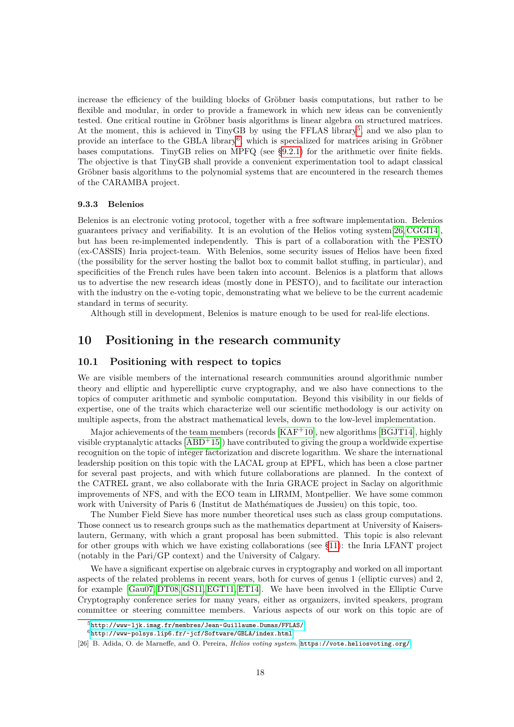increase the efficiency of the building blocks of Gröbner basis computations, but rather to be flexible and modular, in order to provide a framework in which new ideas can be conveniently tested. One critical routine in Gröbner basis algorithms is linear algebra on structured matrices. At the moment, this is achieved in TinyGB by using the FFLAS library<sup>[5](#page-17-2)</sup>, and we also plan to provide an interface to the GBLA library<sup>[6](#page-17-3)</sup>, which is specialized for matrices arising in Gröbner bases computations. TinyGB relies on MPFQ (see [§9.2.1\)](#page-16-4) for the arithmetic over finite fields. The objective is that TinyGB shall provide a convenient experimentation tool to adapt classical Gröbner basis algorithms to the polynomial systems that are encountered in the research themes of the CARAMBA project.

#### <span id="page-17-5"></span>**9.3.3 Belenios**

Belenios is an electronic voting protocol, together with a free software implementation. Belenios guarantees privacy and verifiability. It is an evolution of the Helios voting system[\[26,](#page-17-4) [CGGI14\]](#page-21-8), but has been re-implemented independently. This is part of a collaboration with the PESTO (ex-CASSIS) Inria project-team. With Belenios, some security issues of Helios have been fixed (the possibility for the server hosting the ballot box to commit ballot stuffing, in particular), and specificities of the French rules have been taken into account. Belenios is a platform that allows us to advertise the new research ideas (mostly done in PESTO), and to facilitate our interaction with the industry on the e-voting topic, demonstrating what we believe to be the current academic standard in terms of security.

Although still in development, Belenios is mature enough to be used for real-life elections.

# <span id="page-17-0"></span>**10 Positioning in the research community**

#### <span id="page-17-1"></span>**10.1 Positioning with respect to topics**

We are visible members of the international research communities around algorithmic number theory and elliptic and hyperelliptic curve cryptography, and we also have connections to the topics of computer arithmetic and symbolic computation. Beyond this visibility in our fields of expertise, one of the traits which characterize well our scientific methodology is our activity on multiple aspects, from the abstract mathematical levels, down to the low-level implementation.

Major achievements of the team members (records [\[KAF](#page-21-7)<sup>+</sup>10], new algorithms [\[BGJT14\]](#page-21-1), highly visible cryptanalytic attacks  $[ABD+15]$  $[ABD+15]$  have contributed to giving the group a worldwide expertise recognition on the topic of integer factorization and discrete logarithm. We share the international leadership position on this topic with the LACAL group at EPFL, which has been a close partner for several past projects, and with which future collaborations are planned. In the context of the CATREL grant, we also collaborate with the Inria GRACE project in Saclay on algorithmic improvements of NFS, and with the ECO team in LIRMM, Montpellier. We have some common work with University of Paris 6 (Institut de Mathématiques de Jussieu) on this topic, too.

The Number Field Sieve has more number theoretical uses such as class group computations. Those connect us to research groups such as the mathematics department at University of Kaiserslautern, Germany, with which a grant proposal has been submitted. This topic is also relevant for other groups with which we have existing collaborations (see [§11\)](#page-19-1): the Inria LFANT project (notably in the Pari/GP context) and the University of Calgary.

We have a significant expertise on algebraic curves in cryptography and worked on all important aspects of the related problems in recent years, both for curves of genus 1 (elliptic curves) and 2, for example [\[Gau07,](#page-20-4) [DT08,](#page-20-5) [GS11,](#page-20-2) [EGT11,](#page-20-7) [ET14\]](#page-20-8). We have been involved in the Elliptic Curve Cryptography conference series for many years, either as organizers, invited speakers, program committee or steering committee members. Various aspects of our work on this topic are of

<span id="page-17-3"></span><span id="page-17-2"></span><sup>5</sup><http://www-ljk.imag.fr/membres/Jean-Guillaume.Dumas/FFLAS/>

 $6$ <http://www-polsys.lip6.fr/~jcf/Software/GBLA/index.html>

<span id="page-17-4"></span><sup>[26]</sup> B. Adida, O. de Marneffe, and O. Pereira, *Helios voting system*. <https://vote.heliosvoting.org/>.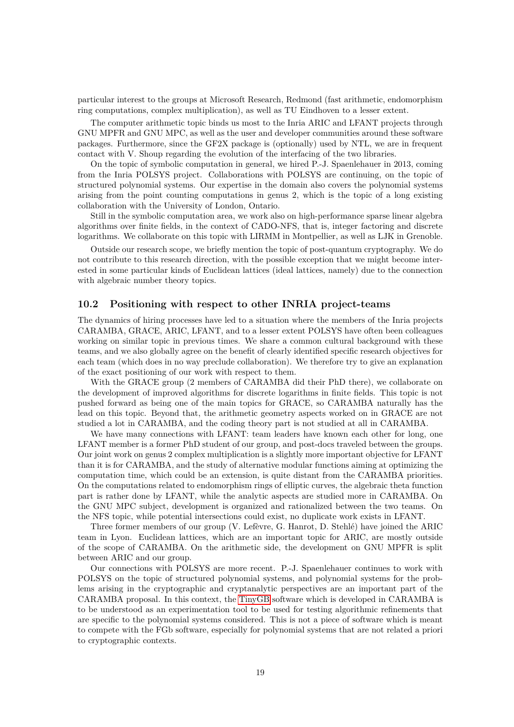particular interest to the groups at Microsoft Research, Redmond (fast arithmetic, endomorphism ring computations, complex multiplication), as well as TU Eindhoven to a lesser extent.

The computer arithmetic topic binds us most to the Inria ARIC and LFANT projects through GNU MPFR and GNU MPC, as well as the user and developer communities around these software packages. Furthermore, since the GF2X package is (optionally) used by NTL, we are in frequent contact with V. Shoup regarding the evolution of the interfacing of the two libraries.

On the topic of symbolic computation in general, we hired P.-J. Spaenlehauer in 2013, coming from the Inria POLSYS project. Collaborations with POLSYS are continuing, on the topic of structured polynomial systems. Our expertise in the domain also covers the polynomial systems arising from the point counting computations in genus 2, which is the topic of a long existing collaboration with the University of London, Ontario.

Still in the symbolic computation area, we work also on high-performance sparse linear algebra algorithms over finite fields, in the context of CADO-NFS, that is, integer factoring and discrete logarithms. We collaborate on this topic with LIRMM in Montpellier, as well as LJK in Grenoble.

Outside our research scope, we briefly mention the topic of post-quantum cryptography. We do not contribute to this research direction, with the possible exception that we might become interested in some particular kinds of Euclidean lattices (ideal lattices, namely) due to the connection with algebraic number theory topics.

### <span id="page-18-0"></span>**10.2 Positioning with respect to other INRIA project-teams**

The dynamics of hiring processes have led to a situation where the members of the Inria projects CARAMBA, GRACE, ARIC, LFANT, and to a lesser extent POLSYS have often been colleagues working on similar topic in previous times. We share a common cultural background with these teams, and we also globally agree on the benefit of clearly identified specific research objectives for each team (which does in no way preclude collaboration). We therefore try to give an explanation of the exact positioning of our work with respect to them.

With the GRACE group (2 members of CARAMBA did their PhD there), we collaborate on the development of improved algorithms for discrete logarithms in finite fields. This topic is not pushed forward as being one of the main topics for GRACE, so CARAMBA naturally has the lead on this topic. Beyond that, the arithmetic geometry aspects worked on in GRACE are not studied a lot in CARAMBA, and the coding theory part is not studied at all in CARAMBA.

We have many connections with LFANT: team leaders have known each other for long, one LFANT member is a former PhD student of our group, and post-docs traveled between the groups. Our joint work on genus 2 complex multiplication is a slightly more important objective for LFANT than it is for CARAMBA, and the study of alternative modular functions aiming at optimizing the computation time, which could be an extension, is quite distant from the CARAMBA priorities. On the computations related to endomorphism rings of elliptic curves, the algebraic theta function part is rather done by LFANT, while the analytic aspects are studied more in CARAMBA. On the GNU MPC subject, development is organized and rationalized between the two teams. On the NFS topic, while potential intersections could exist, no duplicate work exists in LFANT.

Three former members of our group (V. Lefèvre, G. Hanrot, D. Stehlé) have joined the ARIC team in Lyon. Euclidean lattices, which are an important topic for ARIC, are mostly outside of the scope of CARAMBA. On the arithmetic side, the development on GNU MPFR is split between ARIC and our group.

Our connections with POLSYS are more recent. P.-J. Spaenlehauer continues to work with POLSYS on the topic of structured polynomial systems, and polynomial systems for the problems arising in the cryptographic and cryptanalytic perspectives are an important part of the CARAMBA proposal. In this context, the [TinyGB](#page-16-5) software which is developed in CARAMBA is to be understood as an experimentation tool to be used for testing algorithmic refinements that are specific to the polynomial systems considered. This is not a piece of software which is meant to compete with the FGb software, especially for polynomial systems that are not related a priori to cryptographic contexts.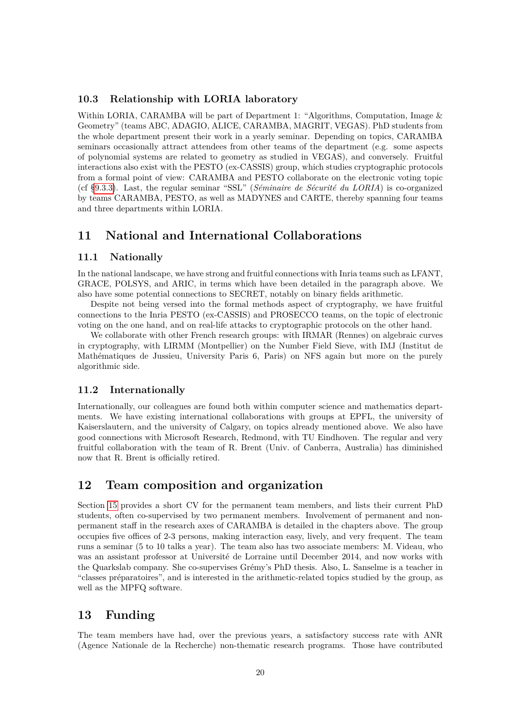# <span id="page-19-0"></span>**10.3 Relationship with LORIA laboratory**

Within LORIA, CARAMBA will be part of Department 1: "Algorithms, Computation, Image & Geometry" (teams ABC, ADAGIO, ALICE, CARAMBA, MAGRIT, VEGAS). PhD students from the whole department present their work in a yearly seminar. Depending on topics, CARAMBA seminars occasionally attract attendees from other teams of the department (e.g. some aspects of polynomial systems are related to geometry as studied in VEGAS), and conversely. Fruitful interactions also exist with the PESTO (ex-CASSIS) group, which studies cryptographic protocols from a formal point of view: CARAMBA and PESTO collaborate on the electronic voting topic (cf [§9.3.3\)](#page-17-5). Last, the regular seminar "SSL" (*Séminaire de Sécurité du LORIA*) is co-organized by teams CARAMBA, PESTO, as well as MADYNES and CARTE, thereby spanning four teams and three departments within LORIA.

# <span id="page-19-1"></span>**11 National and International Collaborations**

### <span id="page-19-2"></span>**11.1 Nationally**

In the national landscape, we have strong and fruitful connections with Inria teams such as LFANT, GRACE, POLSYS, and ARIC, in terms which have been detailed in the paragraph above. We also have some potential connections to SECRET, notably on binary fields arithmetic.

Despite not being versed into the formal methods aspect of cryptography, we have fruitful connections to the Inria PESTO (ex-CASSIS) and PROSECCO teams, on the topic of electronic voting on the one hand, and on real-life attacks to cryptographic protocols on the other hand.

We collaborate with other French research groups: with IRMAR (Rennes) on algebraic curves in cryptography, with LIRMM (Montpellier) on the Number Field Sieve, with IMJ (Institut de Mathématiques de Jussieu, University Paris 6, Paris) on NFS again but more on the purely algorithmic side.

### <span id="page-19-3"></span>**11.2 Internationally**

Internationally, our colleagues are found both within computer science and mathematics departments. We have existing international collaborations with groups at EPFL, the university of Kaiserslautern, and the university of Calgary, on topics already mentioned above. We also have good connections with Microsoft Research, Redmond, with TU Eindhoven. The regular and very fruitful collaboration with the team of R. Brent (Univ. of Canberra, Australia) has diminished now that R. Brent is officially retired.

# <span id="page-19-4"></span>**12 Team composition and organization**

Section [15](#page-21-0) provides a short CV for the permanent team members, and lists their current PhD students, often co-supervised by two permanent members. Involvement of permanent and nonpermanent staff in the research axes of CARAMBA is detailed in the chapters above. The group occupies five offices of 2-3 persons, making interaction easy, lively, and very frequent. The team runs a seminar (5 to 10 talks a year). The team also has two associate members: M. Videau, who was an assistant professor at Université de Lorraine until December 2014, and now works with the Quarkslab company. She co-supervises Grémy's PhD thesis. Also, L. Sanselme is a teacher in "classes préparatoires", and is interested in the arithmetic-related topics studied by the group, as well as the MPFQ software.

# <span id="page-19-5"></span>**13 Funding**

The team members have had, over the previous years, a satisfactory success rate with ANR (Agence Nationale de la Recherche) non-thematic research programs. Those have contributed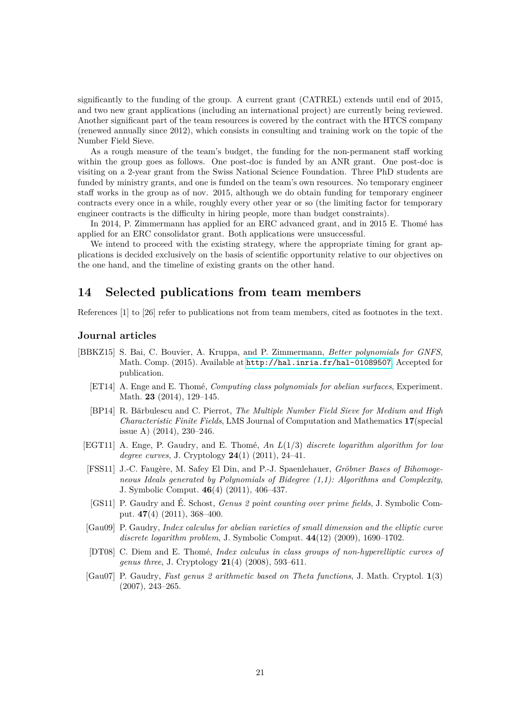significantly to the funding of the group. A current grant (CATREL) extends until end of 2015, and two new grant applications (including an international project) are currently being reviewed. Another significant part of the team resources is covered by the contract with the HTCS company (renewed annually since 2012), which consists in consulting and training work on the topic of the Number Field Sieve.

As a rough measure of the team's budget, the funding for the non-permanent staff working within the group goes as follows. One post-doc is funded by an ANR grant. One post-doc is visiting on a 2-year grant from the Swiss National Science Foundation. Three PhD students are funded by ministry grants, and one is funded on the team's own resources. No temporary engineer staff works in the group as of nov. 2015, although we do obtain funding for temporary engineer contracts every once in a while, roughly every other year or so (the limiting factor for temporary engineer contracts is the difficulty in hiring people, more than budget constraints).

In 2014, P. Zimmermann has applied for an ERC advanced grant, and in 2015 E. Thomé has applied for an ERC consolidator grant. Both applications were unsuccessful.

We intend to proceed with the existing strategy, where the appropriate timing for grant applications is decided exclusively on the basis of scientific opportunity relative to our objectives on the one hand, and the timeline of existing grants on the other hand.

# <span id="page-20-0"></span>**14 Selected publications from team members**

References [1] to [26] refer to publications not from team members, cited as footnotes in the text.

# **Journal articles**

- <span id="page-20-9"></span><span id="page-20-8"></span><span id="page-20-7"></span><span id="page-20-6"></span><span id="page-20-5"></span><span id="page-20-4"></span><span id="page-20-3"></span><span id="page-20-2"></span><span id="page-20-1"></span>[BBKZ15] S. Bai, C. Bouvier, A. Kruppa, and P. Zimmermann, *Better polynomials for GNFS*, Math. Comp. (2015). Available at <http://hal.inria.fr/hal-01089507>. Accepted for publication.
	- [ET14] A. Enge and E. Thomé, *Computing class polynomials for abelian surfaces*, Experiment. Math. **23** (2014), 129–145.
	- [BP14] R. Bărbulescu and C. Pierrot, *The Multiple Number Field Sieve for Medium and High Characteristic Finite Fields*, LMS Journal of Computation and Mathematics **17**(special issue A) (2014), 230–246.
	- [EGT11] A. Enge, P. Gaudry, and E. Thomé, *An L*(1*/*3) *discrete logarithm algorithm for low degree curves*, J. Cryptology **24**(1) (2011), 24–41.
	- [FSS11] J.-C. Faugère, M. Safey El Din, and P.-J. Spaenlehauer, *Gröbner Bases of Bihomogeneous Ideals generated by Polynomials of Bidegree (1,1): Algorithms and Complexity*, J. Symbolic Comput. **46**(4) (2011), 406–437.
	- [GS11] P. Gaudry and É. Schost, *Genus 2 point counting over prime fields*, J. Symbolic Comput. **47**(4) (2011), 368–400.
	- [Gau09] P. Gaudry, *Index calculus for abelian varieties of small dimension and the elliptic curve discrete logarithm problem*, J. Symbolic Comput. **44**(12) (2009), 1690–1702.
	- [DT08] C. Diem and E. Thomé, *Index calculus in class groups of non-hyperelliptic curves of genus three*, J. Cryptology **21**(4) (2008), 593–611.
	- [Gau07] P. Gaudry, *Fast genus 2 arithmetic based on Theta functions*, J. Math. Cryptol. **1**(3) (2007), 243–265.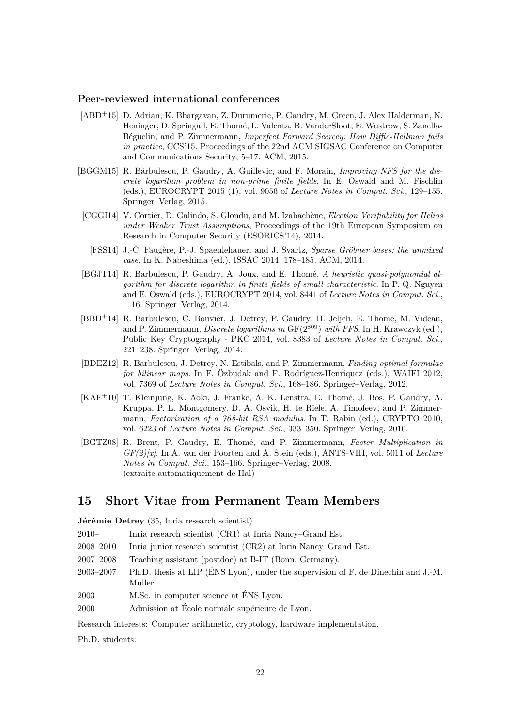### **Peer-reviewed international conferences**

- <span id="page-21-2"></span>[ABD<sup>+</sup>15] D. Adrian, K. Bhargavan, Z. Durumeric, P. Gaudry, M. Green, J. Alex Halderman, N. Heninger, D. Springall, E. Thomé, L. Valenta, B. VanderSloot, E. Wustrow, S. Zanella-Béguelin, and P. Zimmermann, *Imperfect Forward Secrecy: How Diffie-Hellman fails in practice*, CCS'15. Proceedings of the 22nd ACM SIGSAC Conference on Computer and Communications Security, 5–17. ACM, 2015.
- <span id="page-21-4"></span>[BGGM15] R. Bărbulescu, P. Gaudry, A. Guillevic, and F. Morain, *Improving NFS for the discrete logarithm problem in non-prime finite fields*. In E. Oswald and M. Fischlin (eds.), EUROCRYPT 2015 (1), vol. 9056 of *Lecture Notes in Comput. Sci.*, 129–155. Springer–Verlag, 2015.
- <span id="page-21-8"></span>[CGGI14] V. Cortier, D. Galindo, S. Glondu, and M. Izabachène, *Election Verifiability for Helios under Weaker Trust Assumptions*, Proceedings of the 19th European Symposium on Research in Computer Security (ESORICS'14), 2014.
- <span id="page-21-6"></span>[FSS14] J.-C. Faugère, P.-J. Spaenlehauer, and J. Svartz, *Sparse Gröbner bases: the unmixed case*. In K. Nabeshima (ed.), ISSAC 2014, 178–185. ACM, 2014.
- <span id="page-21-1"></span>[BGJT14] R. Barbulescu, P. Gaudry, A. Joux, and E. Thomé, *A heuristic quasi-polynomial algorithm for discrete logarithm in finite fields of small characteristic*. In P. Q. Nguyen and E. Oswald (eds.), EUROCRYPT 2014, vol. 8441 of *Lecture Notes in Comput. Sci.*, 1–16. Springer–Verlag, 2014.
- <span id="page-21-3"></span>[BBD<sup>+</sup>14] R. Barbulescu, C. Bouvier, J. Detrey, P. Gaudry, H. Jeljeli, E. Thomé, M. Videau, and P. Zimmermann, *Discrete logarithms in* GF(2<sup>809</sup>) *with FFS*. In H. Krawczyk (ed.), Public Key Cryptography - PKC 2014, vol. 8383 of *Lecture Notes in Comput. Sci.*, 221–238. Springer–Verlag, 2014.
- <span id="page-21-5"></span>[BDEZ12] R. Barbulescu, J. Detrey, N. Estibals, and P. Zimmermann, *Finding optimal formulae for bilinear maps*. In F. Özbudak and F. Rodríguez-Henríquez (eds.), WAIFI 2012, vol. 7369 of *Lecture Notes in Comput. Sci.*, 168–186. Springer–Verlag, 2012.
- <span id="page-21-7"></span>[KAF<sup>+</sup>10] T. Kleinjung, K. Aoki, J. Franke, A. K. Lenstra, E. Thomé, J. Bos, P. Gaudry, A. Kruppa, P. L. Montgomery, D. A. Osvik, H. te Riele, A. Timofeev, and P. Zimmermann, *Factorization of a 768-bit RSA modulus*. In T. Rabin (ed.), CRYPTO 2010, vol. 6223 of *Lecture Notes in Comput. Sci.*, 333–350. Springer–Verlag, 2010.
- [BGTZ08] R. Brent, P. Gaudry, E. Thomé, and P. Zimmermann, *Faster Multiplication in GF(2)[x]*. In A. van der Poorten and A. Stein (eds.), ANTS-VIII, vol. 5011 of *Lecture Notes in Comput. Sci.*, 153–166. Springer–Verlag, 2008. (extraite automatiquement de Hal)

# <span id="page-21-0"></span>**15 Short Vitae from Permanent Team Members**

**Jérémie Detrey** (35, Inria research scientist)

- 2010– Inria research scientist (CR1) at Inria Nancy–Grand Est.
- 2008–2010 Inria junior research scientist (CR2) at Inria Nancy–Grand Est.
- 2007–2008 Teaching assistant (postdoc) at B-IT (Bonn, Germany).
- 2003–2007 Ph.D. thesis at LIP (ÉNS Lyon), under the supervision of F. de Dinechin and J.-M. Muller.
- 2003 M.Sc. in computer science at ÉNS Lyon.
- 2000 Admission at École normale supérieure de Lyon.

Research interests: Computer arithmetic, cryptology, hardware implementation.

Ph.D. students: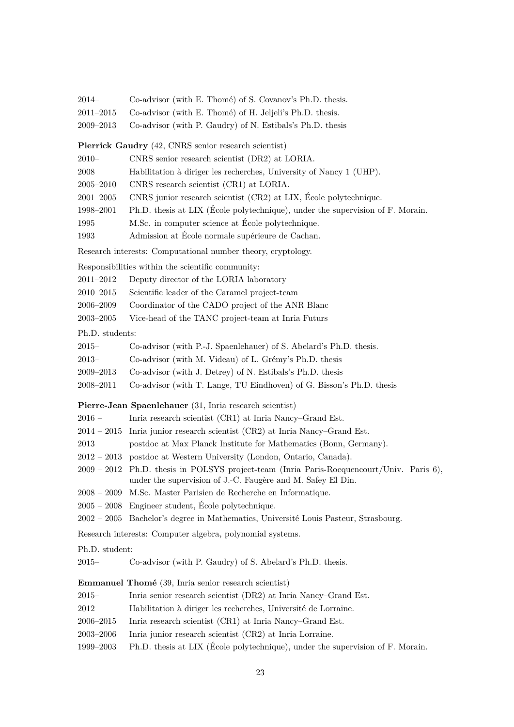| 2014–           | Co-advisor (with E. Thomé) of S. Covanov's Ph.D. thesis.                                                                                                 |
|-----------------|----------------------------------------------------------------------------------------------------------------------------------------------------------|
| $2011 - 2015$   | Co-advisor (with E. Thomé) of H. Jeljeli's Ph.D. thesis.                                                                                                 |
| $2009 - 2013$   | Co-advisor (with P. Gaudry) of N. Estibals's Ph.D. thesis                                                                                                |
|                 | <b>Pierrick Gaudry</b> (42, CNRS senior research scientist)                                                                                              |
| $2010 -$        | CNRS senior research scientist (DR2) at LORIA.                                                                                                           |
| 2008            | Habilitation à diriger les recherches, University of Nancy 1 (UHP).                                                                                      |
| $2005 - 2010$   | CNRS research scientist (CR1) at LORIA.                                                                                                                  |
| $2001 - 2005$   | CNRS junior research scientist (CR2) at LIX, École polytechnique.                                                                                        |
| 1998-2001       | Ph.D. thesis at LIX (École polytechnique), under the supervision of F. Morain.                                                                           |
| 1995            | M.Sc. in computer science at École polytechnique.                                                                                                        |
| 1993            | Admission at École normale supérieure de Cachan.                                                                                                         |
|                 | Research interests: Computational number theory, cryptology.                                                                                             |
|                 | Responsibilities within the scientific community:                                                                                                        |
| $2011 - 2012$   | Deputy director of the LORIA laboratory                                                                                                                  |
| $2010 - 2015$   | Scientific leader of the Caramel project-team                                                                                                            |
| 2006–2009       | Coordinator of the CADO project of the ANR Blanc                                                                                                         |
| $2003 - 2005$   | Vice-head of the TANC project-team at Inria Futurs                                                                                                       |
| Ph.D. students: |                                                                                                                                                          |
| $2015 -$        | Co-advisor (with P.-J. Spaenlehauer) of S. Abelard's Ph.D. thesis.                                                                                       |
| $2013-$         | Co-advisor (with M. Videau) of L. Grémy's Ph.D. thesis                                                                                                   |
| $2009 - 2013$   | Co-advisor (with J. Detrey) of N. Estibals's Ph.D. thesis                                                                                                |
| 2008–2011       | Co-advisor (with T. Lange, TU Eindhoven) of G. Bisson's Ph.D. thesis                                                                                     |
|                 | Pierre-Jean Spaenlehauer (31, Inria research scientist)                                                                                                  |
| $2016$ –        | Inria research scientist (CR1) at Inria Nancy-Grand Est.                                                                                                 |
| $2014 - 2015$   | Inria junior research scientist (CR2) at Inria Nancy-Grand Est.                                                                                          |
| 2013            | postdoc at Max Planck Institute for Mathematics (Bonn, Germany).                                                                                         |
| $2012-2013$     | postdoc at Western University (London, Ontario, Canada).                                                                                                 |
|                 | 2009 - 2012 Ph.D. thesis in POLSYS project-team (Inria Paris-Rocquencourt/Univ. Paris 6),<br>under the supervision of J.-C. Faugère and M. Safey El Din. |
|                 | 2008 – 2009 M.Sc. Master Parisien de Recherche en Informatique.                                                                                          |
|                 | 2005 – 2008 Engineer student, École polytechnique.                                                                                                       |
|                 | 2002 – 2005 Bachelor's degree in Mathematics, Université Louis Pasteur, Strasbourg.                                                                      |
|                 | Research interests: Computer algebra, polynomial systems.                                                                                                |
| Ph.D. student:  |                                                                                                                                                          |
| $2015 -$        | Co-advisor (with P. Gaudry) of S. Abelard's Ph.D. thesis.                                                                                                |
|                 | <b>Emmanuel Thomé</b> (39, Inria senior research scientist)                                                                                              |
| $2015-$         | Inria senior research scientist (DR2) at Inria Nancy-Grand Est.                                                                                          |
| 2012            | Habilitation à diriger les recherches, Université de Lorraine.                                                                                           |
| $2006 - 2015$   | Inria research scientist (CR1) at Inria Nancy-Grand Est.                                                                                                 |
| $2003 - 2006$   | Inria junior research scientist (CR2) at Inria Lorraine.                                                                                                 |
| 1999-2003       | Ph.D. thesis at LIX (École polytechnique), under the supervision of F. Morain.                                                                           |
|                 |                                                                                                                                                          |